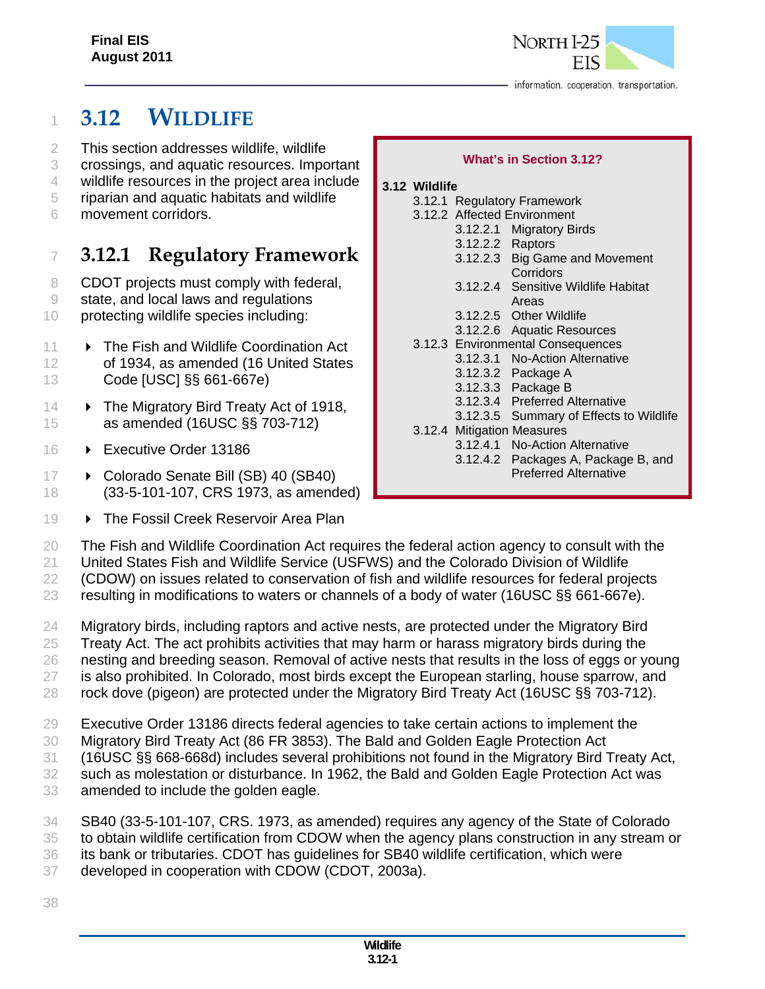

# <sup>1</sup> **3.12 WILDLIFE**

- 2 This section addresses wildlife, wildlife
- 3 crossings, and aquatic resources. Important
- 4 wildlife resources in the project area include
- 5 riparian and aquatic habitats and wildlife
- 6 movement corridors.

# <sup>7</sup> **3.12.1 Regulatory Framework**

- 8 CDOT projects must comply with federal,
- 9 state, and local laws and regulations
- 10 protecting wildlife species including:
- 11  **The Fish and Wildlife Coordination Act** 12 of 1934, as amended (16 United States 13 Code [USC] §§ 661-667e)
- 14  **The Migratory Bird Treaty Act of 1918,** 15 as amended (16USC §§ 703-712)
- 16 **Executive Order 13186**
- 17 Colorado Senate Bill (SB) 40 (SB40) 18 (33-5-101-107, CRS 1973, as amended)
- 19  **The Fossil Creek Reservoir Area Plan**

#### **What's in Section 3.12?**

#### **3.12 Wildlife**

- 3.12.1 Regulatory Framework 3.12.2 Affected Environment 3.12.2.1 Migratory Birds 3.12.2.2 Raptors 3.12.2.3 Big Game and Movement **Corridors** 3.12.2.4 Sensitive Wildlife Habitat Areas 3.12.2.5 Other Wildlife 3.12.2.6 Aquatic Resources 3.12.3 Environmental Consequences 3.12.3.1 No-Action Alternative 3.12.3.2 Package A 3.12.3.3 Package B 3.12.3.4 Preferred Alternative 3.12.3.5 Summary of Effects to Wildlife
- 3.12.4 Mitigation Measures 3.12.4.1 No-Action Alternative 3.12.4.2 Packages A, Package B, and Preferred Alternative
- 
- 20 The Fish and Wildlife Coordination Act requires the federal action agency to consult with the
- 21 United States Fish and Wildlife Service (USFWS) and the Colorado Division of Wildlife

22 (CDOW) on issues related to conservation of fish and wildlife resources for federal projects

- 23 resulting in modifications to waters or channels of a body of water (16USC §§ 661-667e).
- 24 Migratory birds, including raptors and active nests, are protected under the Migratory Bird 25 Treaty Act. The act prohibits activities that may harm or harass migratory birds during the 26 nesting and breeding season. Removal of active nests that results in the loss of eggs or young 27 is also prohibited. In Colorado, most birds except the European starling, house sparrow, and
- 28 rock dove (pigeon) are protected under the Migratory Bird Treaty Act (16USC §§ 703-712).
- 29 Executive Order 13186 directs federal agencies to take certain actions to implement the
- 30 Migratory Bird Treaty Act (86 FR 3853). The Bald and Golden Eagle Protection Act
- 31 (16USC §§ 668-668d) includes several prohibitions not found in the Migratory Bird Treaty Act,
- 32 such as molestation or disturbance. In 1962, the Bald and Golden Eagle Protection Act was
- 33 amended to include the golden eagle.
- 34 SB40 (33-5-101-107, CRS. 1973, as amended) requires any agency of the State of Colorado
- 35 to obtain wildlife certification from CDOW when the agency plans construction in any stream or
- 36 its bank or tributaries. CDOT has guidelines for SB40 wildlife certification, which were
- 37 developed in cooperation with CDOW (CDOT, 2003a).
- 38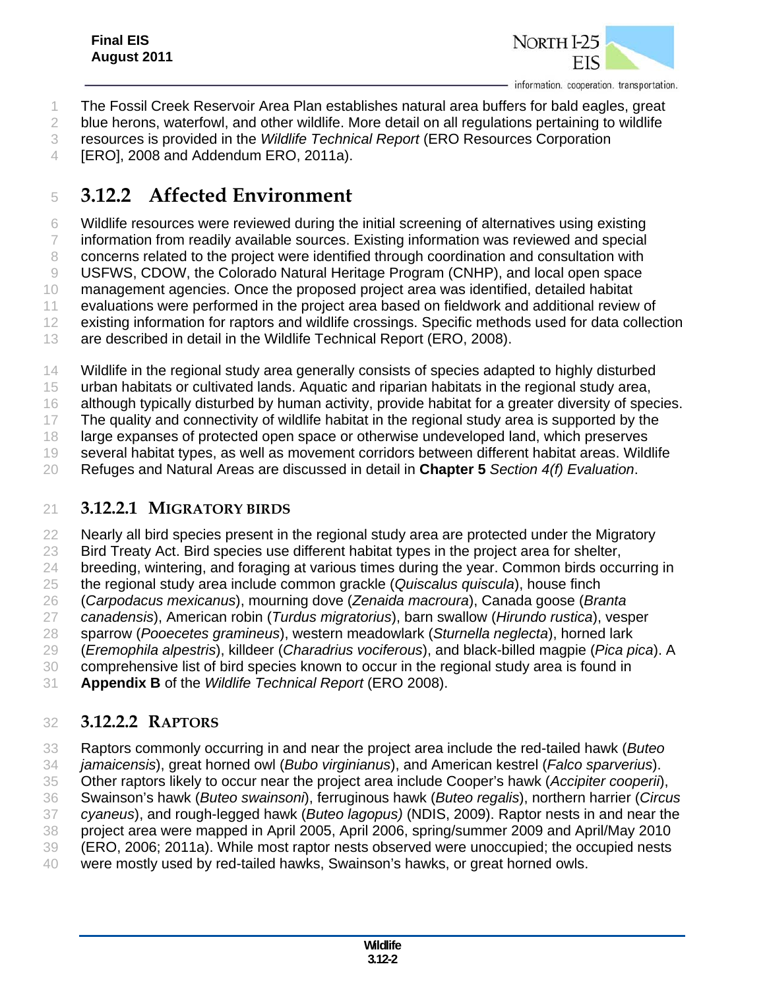

The Fossil Creek Reservoir Area Plan establishes natural area buffers for bald eagles, great

blue herons, waterfowl, and other wildlife. More detail on all regulations pertaining to wildlife

resources is provided in the *Wildlife Technical Report* (ERO Resources Corporation

[ERO], 2008 and Addendum ERO, 2011a).

# **3.12.2 Affected Environment**

Wildlife resources were reviewed during the initial screening of alternatives using existing

information from readily available sources. Existing information was reviewed and special

concerns related to the project were identified through coordination and consultation with

USFWS, CDOW, the Colorado Natural Heritage Program (CNHP), and local open space

management agencies. Once the proposed project area was identified, detailed habitat

 evaluations were performed in the project area based on fieldwork and additional review of existing information for raptors and wildlife crossings. Specific methods used for data collection

are described in detail in the Wildlife Technical Report (ERO, 2008).

14 Wildlife in the regional study area generally consists of species adapted to highly disturbed

urban habitats or cultivated lands. Aquatic and riparian habitats in the regional study area,

although typically disturbed by human activity, provide habitat for a greater diversity of species.

17 The quality and connectivity of wildlife habitat in the regional study area is supported by the

large expanses of protected open space or otherwise undeveloped land, which preserves

several habitat types, as well as movement corridors between different habitat areas. Wildlife

Refuges and Natural Areas are discussed in detail in **Chapter 5** *Section 4(f) Evaluation*.

## **3.12.2.1 MIGRATORY BIRDS**

22 Nearly all bird species present in the regional study area are protected under the Migratory

Bird Treaty Act. Bird species use different habitat types in the project area for shelter,

24 breeding, wintering, and foraging at various times during the year. Common birds occurring in

the regional study area include common grackle (*Quiscalus quiscula*), house finch

(*Carpodacus mexicanus*), mourning dove (*Zenaida macroura*), Canada goose (*Branta* 

*canadensis*), American robin (*Turdus migratorius*), barn swallow (*Hirundo rustica*), vesper

sparrow (*Pooecetes gramineus*), western meadowlark (*Sturnella neglecta*), horned lark

(*Eremophila alpestris*), killdeer (*Charadrius vociferous*), and black-billed magpie (*Pica pica*). A

comprehensive list of bird species known to occur in the regional study area is found in

**Appendix B** of the *Wildlife Technical Report* (ERO 2008).

# **3.12.2.2 RAPTORS**

Raptors commonly occurring in and near the project area include the red-tailed hawk (*Buteo* 

*jamaicensis*), great horned owl (*Bubo virginianus*), and American kestrel (*Falco sparverius*).

Other raptors likely to occur near the project area include Cooper's hawk (*Accipiter cooperii*),

Swainson's hawk (*Buteo swainsoni*), ferruginous hawk (*Buteo regalis*), northern harrier (*Circus* 

 *cyaneus*), and rough-legged hawk (*Buteo lagopus)* (NDIS, 2009). Raptor nests in and near the project area were mapped in April 2005, April 2006, spring/summer 2009 and April/May 2010

(ERO, 2006; 2011a). While most raptor nests observed were unoccupied; the occupied nests

were mostly used by red-tailed hawks, Swainson's hawks, or great horned owls.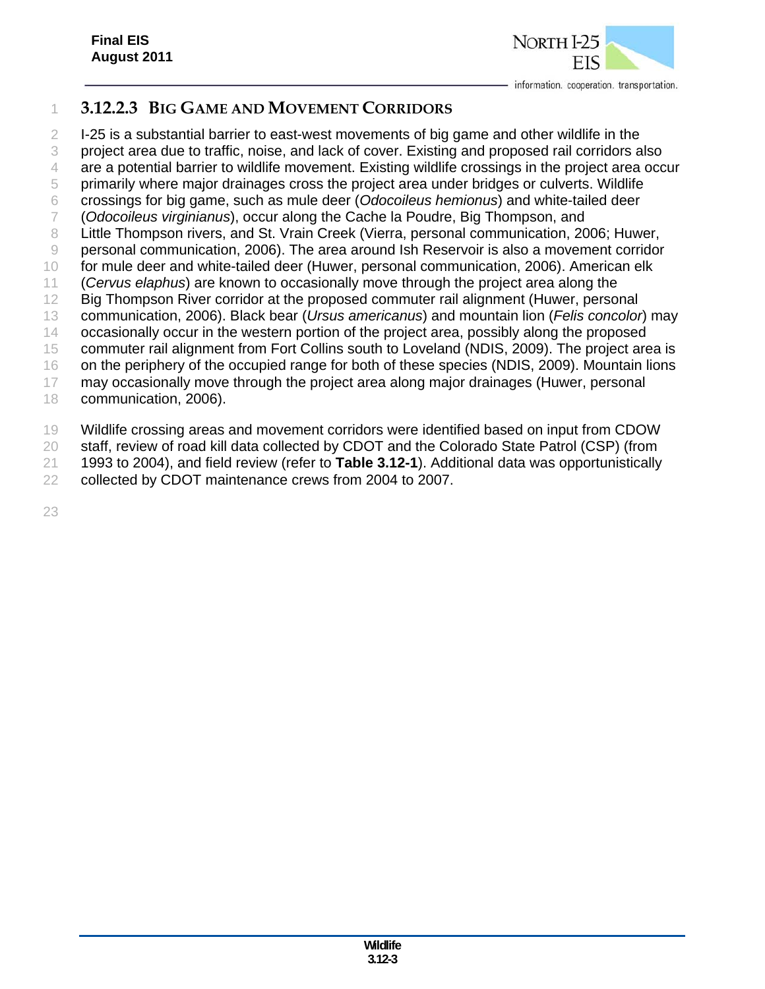

# **3.12.2.3 BIG GAME AND MOVEMENT CORRIDORS**

 I-25 is a substantial barrier to east-west movements of big game and other wildlife in the project area due to traffic, noise, and lack of cover. Existing and proposed rail corridors also are a potential barrier to wildlife movement. Existing wildlife crossings in the project area occur primarily where major drainages cross the project area under bridges or culverts. Wildlife crossings for big game, such as mule deer (*Odocoileus hemionus*) and white-tailed deer (*Odocoileus virginianus*), occur along the Cache la Poudre, Big Thompson, and 8 Little Thompson rivers, and St. Vrain Creek (Vierra, personal communication, 2006; Huwer, personal communication, 2006). The area around Ish Reservoir is also a movement corridor for mule deer and white-tailed deer (Huwer, personal communication, 2006). American elk (*Cervus elaphus*) are known to occasionally move through the project area along the Big Thompson River corridor at the proposed commuter rail alignment (Huwer, personal communication, 2006). Black bear (*Ursus americanus*) and mountain lion (*Felis concolor*) may occasionally occur in the western portion of the project area, possibly along the proposed commuter rail alignment from Fort Collins south to Loveland (NDIS, 2009). The project area is on the periphery of the occupied range for both of these species (NDIS, 2009). Mountain lions may occasionally move through the project area along major drainages (Huwer, personal communication, 2006).

Wildlife crossing areas and movement corridors were identified based on input from CDOW

20 staff, review of road kill data collected by CDOT and the Colorado State Patrol (CSP) (from

1993 to 2004), and field review (refer to **Table 3.12-1**). Additional data was opportunistically

collected by CDOT maintenance crews from 2004 to 2007.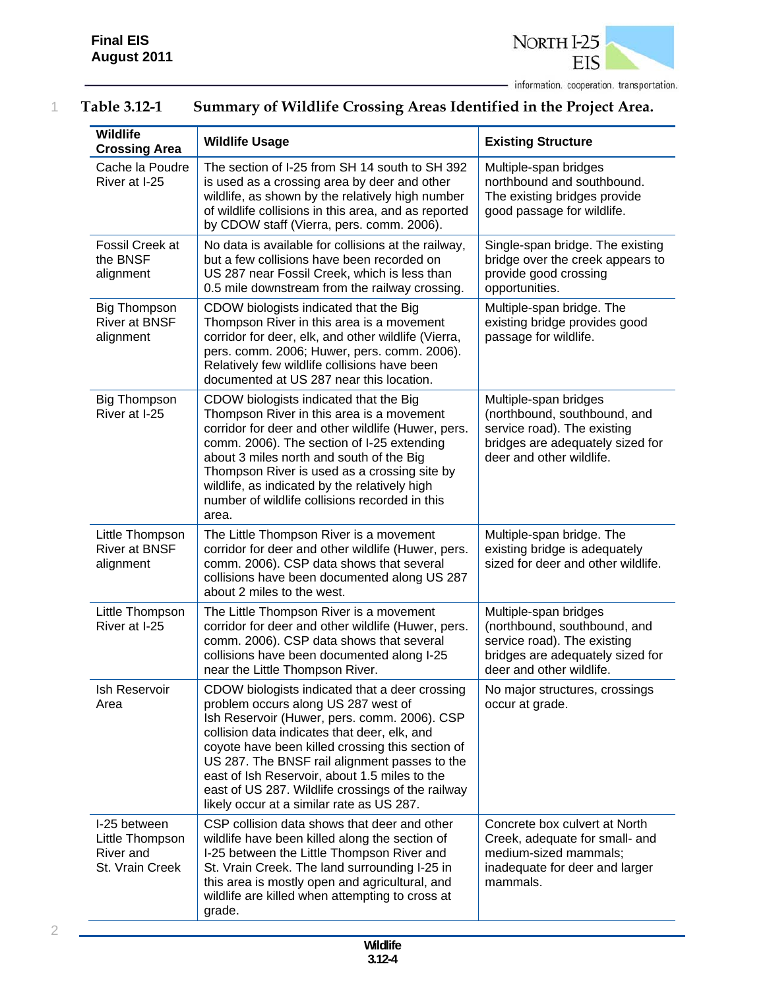

| Table 3.12-1 | Summary of Wildlife Crossing Areas Identified in the Project Area. |
|--------------|--------------------------------------------------------------------|
|              |                                                                    |

| <b>Wildlife</b><br><b>Crossing Area</b>                         | <b>Wildlife Usage</b>                                                                                                                                                                                                                                                                                                                                                                                                                         | <b>Existing Structure</b>                                                                                                                            |
|-----------------------------------------------------------------|-----------------------------------------------------------------------------------------------------------------------------------------------------------------------------------------------------------------------------------------------------------------------------------------------------------------------------------------------------------------------------------------------------------------------------------------------|------------------------------------------------------------------------------------------------------------------------------------------------------|
| Cache la Poudre<br>River at I-25                                | The section of I-25 from SH 14 south to SH 392<br>is used as a crossing area by deer and other<br>wildlife, as shown by the relatively high number<br>of wildlife collisions in this area, and as reported<br>by CDOW staff (Vierra, pers. comm. 2006).                                                                                                                                                                                       | Multiple-span bridges<br>northbound and southbound.<br>The existing bridges provide<br>good passage for wildlife.                                    |
| Fossil Creek at<br>the BNSF<br>alignment                        | No data is available for collisions at the railway,<br>but a few collisions have been recorded on<br>US 287 near Fossil Creek, which is less than<br>0.5 mile downstream from the railway crossing.                                                                                                                                                                                                                                           | Single-span bridge. The existing<br>bridge over the creek appears to<br>provide good crossing<br>opportunities.                                      |
| <b>Big Thompson</b><br><b>River at BNSF</b><br>alignment        | CDOW biologists indicated that the Big<br>Thompson River in this area is a movement<br>corridor for deer, elk, and other wildlife (Vierra,<br>pers. comm. 2006; Huwer, pers. comm. 2006).<br>Relatively few wildlife collisions have been<br>documented at US 287 near this location.                                                                                                                                                         | Multiple-span bridge. The<br>existing bridge provides good<br>passage for wildlife.                                                                  |
| <b>Big Thompson</b><br>River at I-25                            | CDOW biologists indicated that the Big<br>Thompson River in this area is a movement<br>corridor for deer and other wildlife (Huwer, pers.<br>comm. 2006). The section of I-25 extending<br>about 3 miles north and south of the Big<br>Thompson River is used as a crossing site by<br>wildlife, as indicated by the relatively high<br>number of wildlife collisions recorded in this<br>area.                                               | Multiple-span bridges<br>(northbound, southbound, and<br>service road). The existing<br>bridges are adequately sized for<br>deer and other wildlife. |
| Little Thompson<br><b>River at BNSF</b><br>alignment            | The Little Thompson River is a movement<br>corridor for deer and other wildlife (Huwer, pers.<br>comm. 2006). CSP data shows that several<br>collisions have been documented along US 287<br>about 2 miles to the west.                                                                                                                                                                                                                       | Multiple-span bridge. The<br>existing bridge is adequately<br>sized for deer and other wildlife.                                                     |
| Little Thompson<br>River at I-25                                | The Little Thompson River is a movement<br>corridor for deer and other wildlife (Huwer, pers.<br>comm. 2006). CSP data shows that several<br>collisions have been documented along I-25<br>near the Little Thompson River.                                                                                                                                                                                                                    | Multiple-span bridges<br>(northbound, southbound, and<br>service road). The existing<br>bridges are adequately sized for<br>deer and other wildlife. |
| Ish Reservoir<br>Area                                           | CDOW biologists indicated that a deer crossing<br>problem occurs along US 287 west of<br>Ish Reservoir (Huwer, pers. comm. 2006). CSP<br>collision data indicates that deer, elk, and<br>coyote have been killed crossing this section of<br>US 287. The BNSF rail alignment passes to the<br>east of Ish Reservoir, about 1.5 miles to the<br>east of US 287. Wildlife crossings of the railway<br>likely occur at a similar rate as US 287. | No major structures, crossings<br>occur at grade.                                                                                                    |
| I-25 between<br>Little Thompson<br>River and<br>St. Vrain Creek | CSP collision data shows that deer and other<br>wildlife have been killed along the section of<br>I-25 between the Little Thompson River and<br>St. Vrain Creek. The land surrounding I-25 in<br>this area is mostly open and agricultural, and<br>wildlife are killed when attempting to cross at<br>grade.                                                                                                                                  | Concrete box culvert at North<br>Creek, adequate for small- and<br>medium-sized mammals;<br>inadequate for deer and larger<br>mammals.               |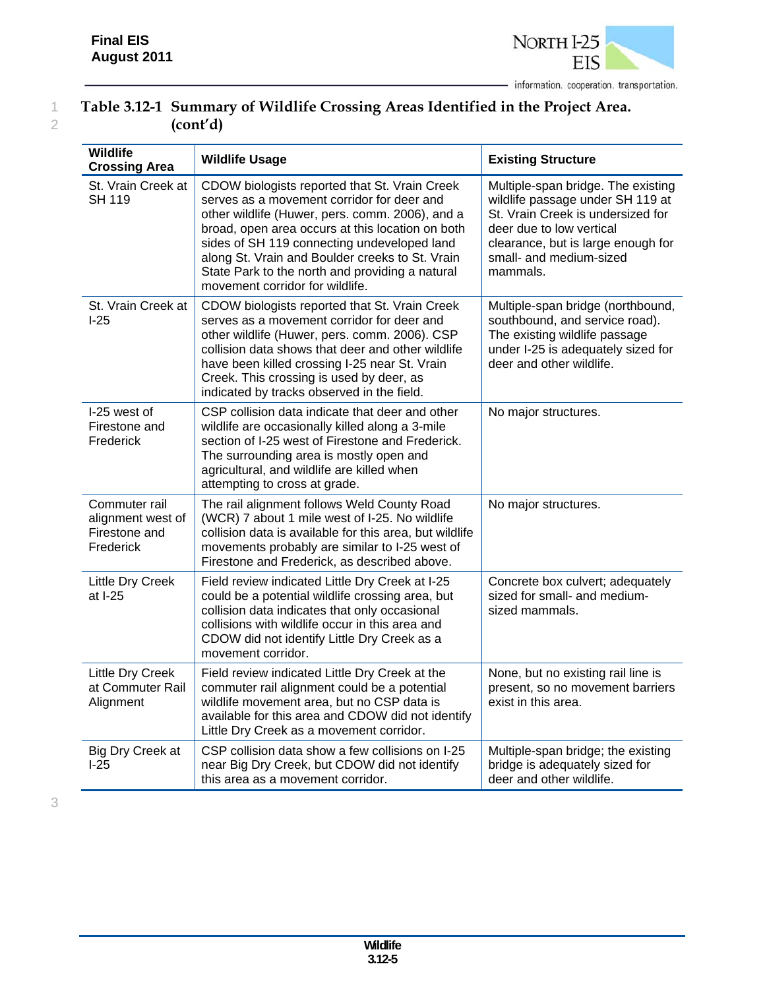

# 1 **Table 3.12-1 Summary of Wildlife Crossing Areas Identified in the Project Area.**  2 **(cont'd)**

| <b>Wildlife</b><br><b>Crossing Area</b>                          | <b>Wildlife Usage</b>                                                                                                                                                                                                                                                                                                                                                                      | <b>Existing Structure</b>                                                                                                                                                                                            |
|------------------------------------------------------------------|--------------------------------------------------------------------------------------------------------------------------------------------------------------------------------------------------------------------------------------------------------------------------------------------------------------------------------------------------------------------------------------------|----------------------------------------------------------------------------------------------------------------------------------------------------------------------------------------------------------------------|
| St. Vrain Creek at<br><b>SH 119</b>                              | CDOW biologists reported that St. Vrain Creek<br>serves as a movement corridor for deer and<br>other wildlife (Huwer, pers. comm. 2006), and a<br>broad, open area occurs at this location on both<br>sides of SH 119 connecting undeveloped land<br>along St. Vrain and Boulder creeks to St. Vrain<br>State Park to the north and providing a natural<br>movement corridor for wildlife. | Multiple-span bridge. The existing<br>wildlife passage under SH 119 at<br>St. Vrain Creek is undersized for<br>deer due to low vertical<br>clearance, but is large enough for<br>small- and medium-sized<br>mammals. |
| St. Vrain Creek at<br>$1-25$                                     | CDOW biologists reported that St. Vrain Creek<br>serves as a movement corridor for deer and<br>other wildlife (Huwer, pers. comm. 2006). CSP<br>collision data shows that deer and other wildlife<br>have been killed crossing I-25 near St. Vrain<br>Creek. This crossing is used by deer, as<br>indicated by tracks observed in the field.                                               | Multiple-span bridge (northbound,<br>southbound, and service road).<br>The existing wildlife passage<br>under I-25 is adequately sized for<br>deer and other wildlife.                                               |
| I-25 west of<br>Firestone and<br>Frederick                       | CSP collision data indicate that deer and other<br>wildlife are occasionally killed along a 3-mile<br>section of I-25 west of Firestone and Frederick.<br>The surrounding area is mostly open and<br>agricultural, and wildlife are killed when<br>attempting to cross at grade.                                                                                                           | No major structures.                                                                                                                                                                                                 |
| Commuter rail<br>alignment west of<br>Firestone and<br>Frederick | The rail alignment follows Weld County Road<br>(WCR) 7 about 1 mile west of I-25. No wildlife<br>collision data is available for this area, but wildlife<br>movements probably are similar to I-25 west of<br>Firestone and Frederick, as described above.                                                                                                                                 | No major structures.                                                                                                                                                                                                 |
| <b>Little Dry Creek</b><br>at I-25                               | Field review indicated Little Dry Creek at I-25<br>could be a potential wildlife crossing area, but<br>collision data indicates that only occasional<br>collisions with wildlife occur in this area and<br>CDOW did not identify Little Dry Creek as a<br>movement corridor.                                                                                                               | Concrete box culvert; adequately<br>sized for small- and medium-<br>sized mammals.                                                                                                                                   |
| <b>Little Dry Creek</b><br>at Commuter Rail<br>Alignment         | Field review indicated Little Dry Creek at the<br>commuter rail alignment could be a potential<br>wildlife movement area, but no CSP data is<br>available for this area and CDOW did not identify<br>Little Dry Creek as a movement corridor.                                                                                                                                              | None, but no existing rail line is<br>present, so no movement barriers<br>exist in this area.                                                                                                                        |
| Big Dry Creek at<br>$1-25$                                       | CSP collision data show a few collisions on I-25<br>near Big Dry Creek, but CDOW did not identify<br>this area as a movement corridor.                                                                                                                                                                                                                                                     | Multiple-span bridge; the existing<br>bridge is adequately sized for<br>deer and other wildlife.                                                                                                                     |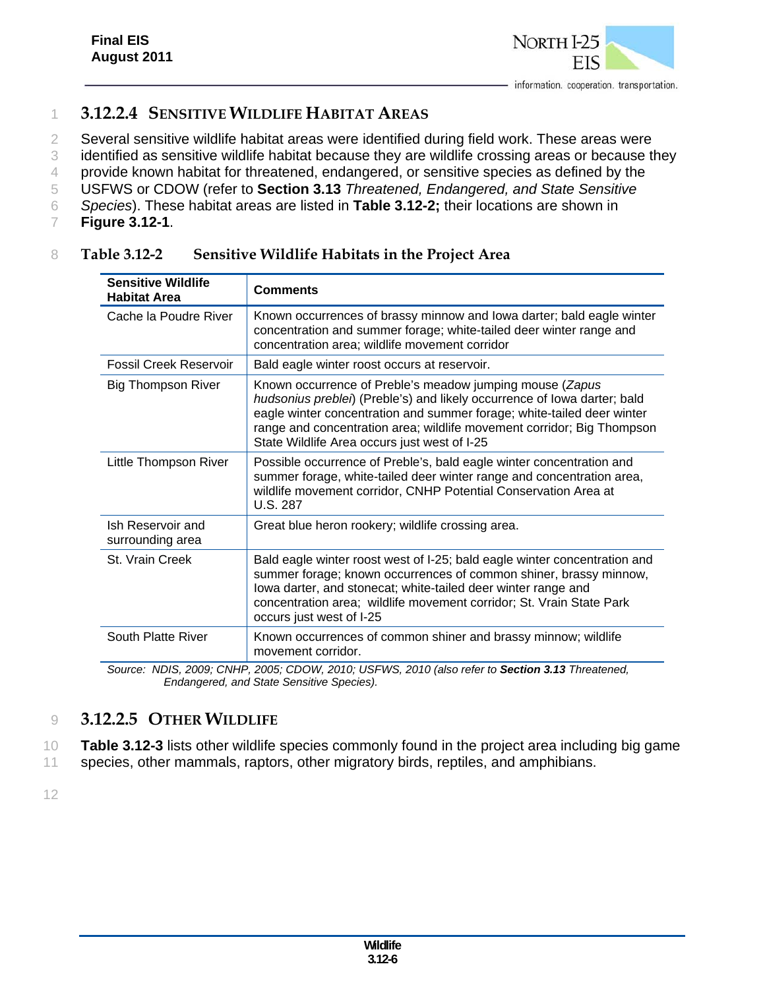

# 1 **3.12.2.4 SENSITIVE WILDLIFE HABITAT AREAS**

2 Several sensitive wildlife habitat areas were identified during field work. These areas were

3 identified as sensitive wildlife habitat because they are wildlife crossing areas or because they

4 provide known habitat for threatened, endangered, or sensitive species as defined by the

5 USFWS or CDOW (refer to **Section 3.13** *Threatened, Endangered, and State Sensitive* 

- 6 *Species*). These habitat areas are listed in **Table 3.12-2;** their locations are shown in
- 7 **Figure 3.12-1**.

| <b>Sensitive Wildlife</b><br><b>Habitat Area</b>                                                | <b>Comments</b>                                                                                                                                                                                                                                                                                                                          |  |
|-------------------------------------------------------------------------------------------------|------------------------------------------------------------------------------------------------------------------------------------------------------------------------------------------------------------------------------------------------------------------------------------------------------------------------------------------|--|
| Cache la Poudre River                                                                           | Known occurrences of brassy minnow and lowa darter; bald eagle winter<br>concentration and summer forage; white-tailed deer winter range and<br>concentration area; wildlife movement corridor                                                                                                                                           |  |
| Fossil Creek Reservoir                                                                          | Bald eagle winter roost occurs at reservoir.                                                                                                                                                                                                                                                                                             |  |
| <b>Big Thompson River</b>                                                                       | Known occurrence of Preble's meadow jumping mouse (Zapus<br>hudsonius preblei) (Preble's) and likely occurrence of lowa darter; bald<br>eagle winter concentration and summer forage; white-tailed deer winter<br>range and concentration area; wildlife movement corridor; Big Thompson<br>State Wildlife Area occurs just west of I-25 |  |
| Little Thompson River                                                                           | Possible occurrence of Preble's, bald eagle winter concentration and<br>summer forage, white-tailed deer winter range and concentration area,<br>wildlife movement corridor, CNHP Potential Conservation Area at<br>U.S. 287                                                                                                             |  |
| Ish Reservoir and<br>surrounding area                                                           | Great blue heron rookery; wildlife crossing area.                                                                                                                                                                                                                                                                                        |  |
| St. Vrain Creek                                                                                 | Bald eagle winter roost west of I-25; bald eagle winter concentration and<br>summer forage; known occurrences of common shiner, brassy minnow,<br>lowa darter, and stonecat; white-tailed deer winter range and<br>concentration area; wildlife movement corridor; St. Vrain State Park<br>occurs just west of I-25                      |  |
| South Platte River                                                                              | Known occurrences of common shiner and brassy minnow; wildlife<br>movement corridor.                                                                                                                                                                                                                                                     |  |
| Source: NDIS, 2009; CNHP, 2005; CDOW, 2010; USFWS, 2010 (also refer to Section 3.13 Threatened, |                                                                                                                                                                                                                                                                                                                                          |  |

#### 8 **Table 3.12-2 Sensitive Wildlife Habitats in the Project Area**

*Endangered, and State Sensitive Species).* 

## 9 **3.12.2.5 OTHER WILDLIFE**

10 **Table 3.12-3** lists other wildlife species commonly found in the project area including big game

11 species, other mammals, raptors, other migratory birds, reptiles, and amphibians.

12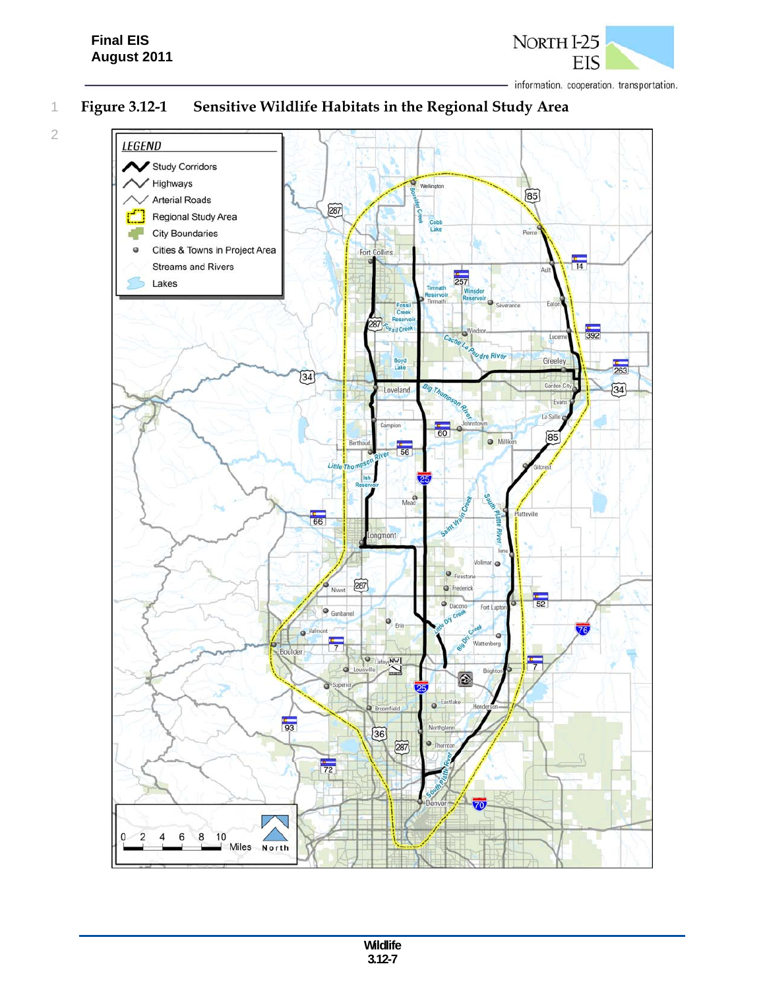2



1 **Figure 3.12-1 Sensitive Wildlife Habitats in the Regional Study Area** 

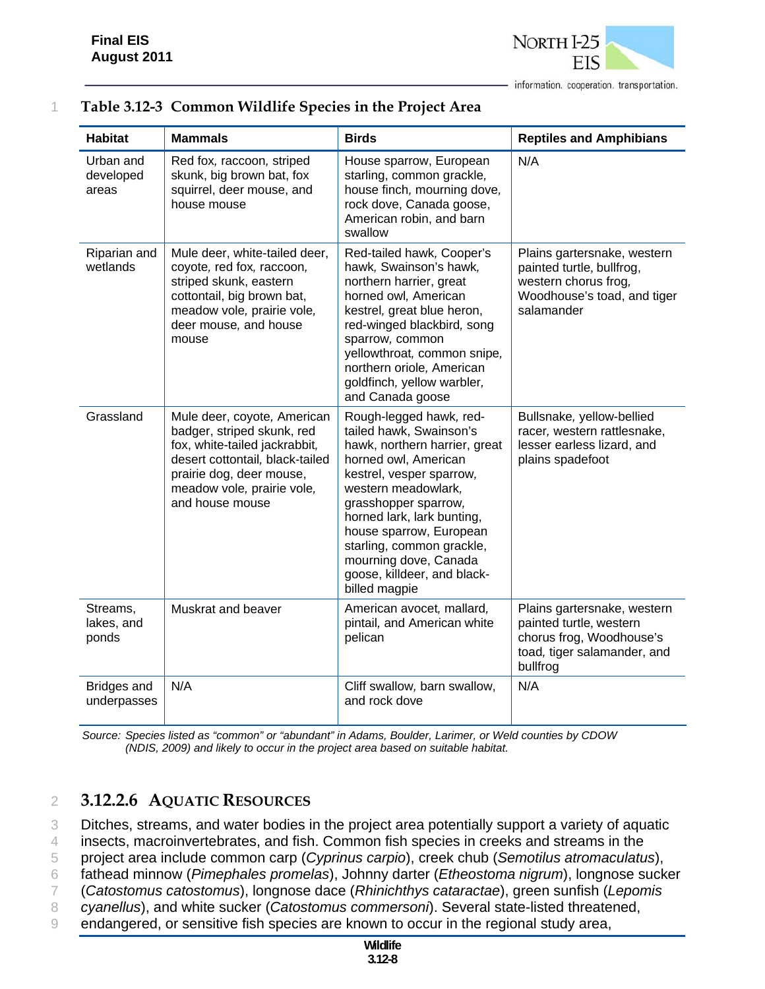

|  |  |  |  |  | Table 3.12-3 Common Wildlife Species in the Project Area |
|--|--|--|--|--|----------------------------------------------------------|
|--|--|--|--|--|----------------------------------------------------------|

| <b>Habitat</b>                    | <b>Mammals</b>                                                                                                                                                                                             | <b>Birds</b>                                                                                                                                                                                                                                                                                                                                          | <b>Reptiles and Amphibians</b>                                                                                                |
|-----------------------------------|------------------------------------------------------------------------------------------------------------------------------------------------------------------------------------------------------------|-------------------------------------------------------------------------------------------------------------------------------------------------------------------------------------------------------------------------------------------------------------------------------------------------------------------------------------------------------|-------------------------------------------------------------------------------------------------------------------------------|
| Urban and<br>developed<br>areas   | Red fox, raccoon, striped<br>skunk, big brown bat, fox<br>squirrel, deer mouse, and<br>house mouse                                                                                                         | House sparrow, European<br>starling, common grackle,<br>house finch, mourning dove,<br>rock dove, Canada goose,<br>American robin, and barn<br>swallow                                                                                                                                                                                                | N/A                                                                                                                           |
| Riparian and<br>wetlands          | Mule deer, white-tailed deer,<br>coyote, red fox, raccoon,<br>striped skunk, eastern<br>cottontail, big brown bat,<br>meadow vole, prairie vole,<br>deer mouse, and house<br>mouse                         | Red-tailed hawk, Cooper's<br>hawk, Swainson's hawk,<br>northern harrier, great<br>horned owl, American<br>kestrel, great blue heron,<br>red-winged blackbird, song<br>sparrow, common<br>yellowthroat, common snipe,<br>northern oriole, American<br>goldfinch, yellow warbler,<br>and Canada goose                                                   | Plains gartersnake, western<br>painted turtle, bullfrog,<br>western chorus frog,<br>Woodhouse's toad, and tiger<br>salamander |
| Grassland                         | Mule deer, coyote, American<br>badger, striped skunk, red<br>fox, white-tailed jackrabbit,<br>desert cottontail, black-tailed<br>prairie dog, deer mouse,<br>meadow vole, prairie vole,<br>and house mouse | Rough-legged hawk, red-<br>tailed hawk, Swainson's<br>hawk, northern harrier, great<br>horned owl, American<br>kestrel, vesper sparrow,<br>western meadowlark,<br>grasshopper sparrow,<br>horned lark, lark bunting,<br>house sparrow, European<br>starling, common grackle,<br>mourning dove, Canada<br>goose, killdeer, and black-<br>billed magpie | Bullsnake, yellow-bellied<br>racer, western rattlesnake,<br>lesser earless lizard, and<br>plains spadefoot                    |
| Streams,<br>lakes, and<br>ponds   | Muskrat and beaver                                                                                                                                                                                         | American avocet, mallard,<br>pintail, and American white<br>pelican                                                                                                                                                                                                                                                                                   | Plains gartersnake, western<br>painted turtle, western<br>chorus frog, Woodhouse's<br>toad, tiger salamander, and<br>bullfrog |
| <b>Bridges and</b><br>underpasses | N/A                                                                                                                                                                                                        | Cliff swallow, barn swallow,<br>and rock dove                                                                                                                                                                                                                                                                                                         | N/A                                                                                                                           |

*Source: Species listed as "common" or "abundant" in Adams, Boulder, Larimer, or Weld counties by CDOW (NDIS, 2009) and likely to occur in the project area based on suitable habitat.*

## 2 **3.12.2.6 AQUATIC RESOURCES**

3 Ditches, streams, and water bodies in the project area potentially support a variety of aquatic

4 insects, macroinvertebrates, and fish. Common fish species in creeks and streams in the

5 project area include common carp (*Cyprinus carpio*), creek chub (*Semotilus atromaculatus*),

6 fathead minnow (*Pimephales promelas*), Johnny darter (*Etheostoma nigrum*), longnose sucker

7 (*Catostomus catostomus*), longnose dace (*Rhinichthys cataractae*), green sunfish (*Lepomis*  8 *cyanellus*), and white sucker (*Catostomus commersoni*). Several state-listed threatened,

9 endangered, or sensitive fish species are known to occur in the regional study area,

**Wildlife 3.12-8**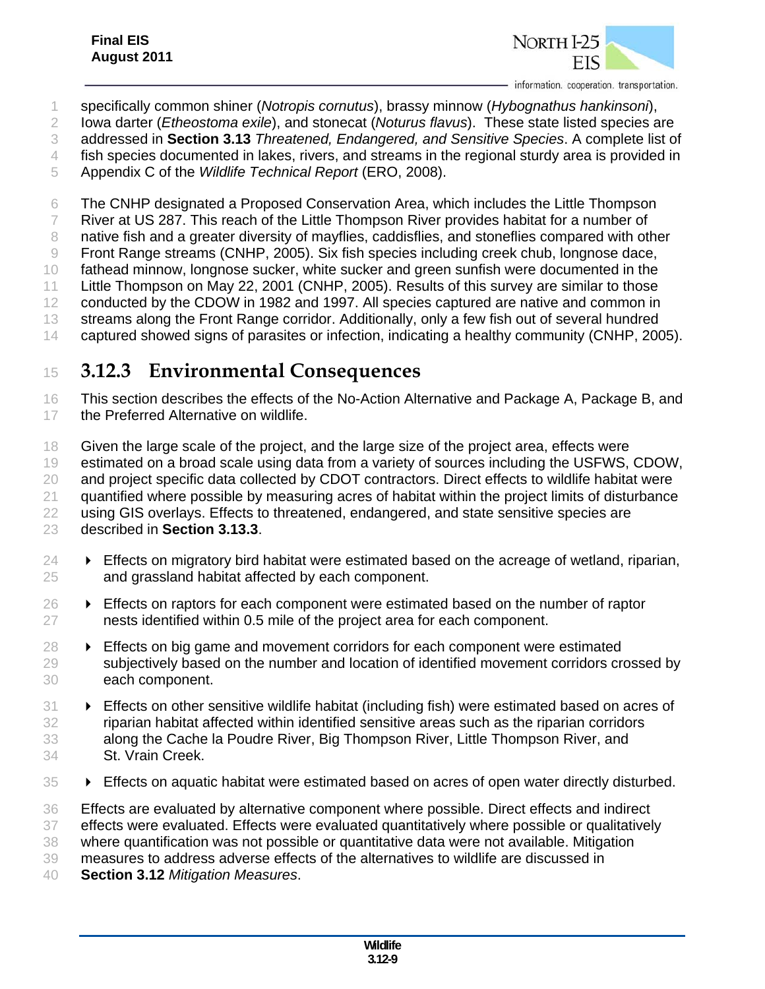

specifically common shiner (*Notropis cornutus*), brassy minnow (*Hybognathus hankinsoni*),

Iowa darter (*Etheostoma exile*), and stonecat (*Noturus flavus*). These state listed species are

addressed in **Section 3.13** *Threatened, Endangered, and Sensitive Species*. A complete list of

fish species documented in lakes, rivers, and streams in the regional sturdy area is provided in

Appendix C of the *Wildlife Technical Report* (ERO, 2008).

The CNHP designated a Proposed Conservation Area, which includes the Little Thompson

River at US 287. This reach of the Little Thompson River provides habitat for a number of

native fish and a greater diversity of mayflies, caddisflies, and stoneflies compared with other

Front Range streams (CNHP, 2005). Six fish species including creek chub, longnose dace,

fathead minnow, longnose sucker, white sucker and green sunfish were documented in the

Little Thompson on May 22, 2001 (CNHP, 2005). Results of this survey are similar to those

12 conducted by the CDOW in 1982 and 1997. All species captured are native and common in streams along the Front Range corridor. Additionally, only a few fish out of several hundred

captured showed signs of parasites or infection, indicating a healthy community (CNHP, 2005).

# **3.12.3 Environmental Consequences**

 This section describes the effects of the No-Action Alternative and Package A, Package B, and 17 the Preferred Alternative on wildlife.

18 Given the large scale of the project, and the large size of the project area, effects were estimated on a broad scale using data from a variety of sources including the USFWS, CDOW, 20 and project specific data collected by CDOT contractors. Direct effects to wildlife habitat were 21 quantified where possible by measuring acres of habitat within the project limits of disturbance 22 using GIS overlays. Effects to threatened, endangered, and state sensitive species are described in **Section 3.13.3**.

- $24 \rightarrow$  Effects on migratory bird habitat were estimated based on the acreage of wetland, riparian, and grassland habitat affected by each component.
- Effects on raptors for each component were estimated based on the number of raptor nests identified within 0.5 mile of the project area for each component.
- $28 \rightarrow$  Effects on big game and movement corridors for each component were estimated subjectively based on the number and location of identified movement corridors crossed by each component.
- Effects on other sensitive wildlife habitat (including fish) were estimated based on acres of riparian habitat affected within identified sensitive areas such as the riparian corridors along the Cache la Poudre River, Big Thompson River, Little Thompson River, and St. Vrain Creek.
- Effects on aquatic habitat were estimated based on acres of open water directly disturbed.

 Effects are evaluated by alternative component where possible. Direct effects and indirect effects were evaluated. Effects were evaluated quantitatively where possible or qualitatively where quantification was not possible or quantitative data were not available. Mitigation measures to address adverse effects of the alternatives to wildlife are discussed in **Section 3.12** *Mitigation Measures*.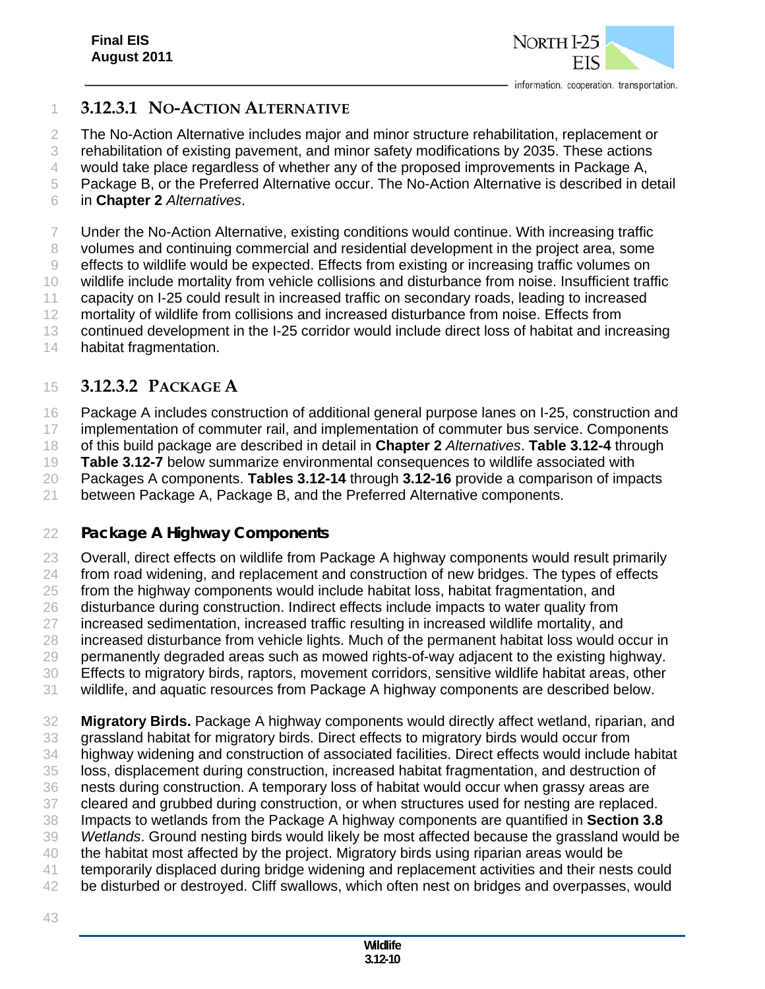

#### **3.12.3.1 NO-ACTION ALTERNATIVE**

The No-Action Alternative includes major and minor structure rehabilitation, replacement or

rehabilitation of existing pavement, and minor safety modifications by 2035. These actions

would take place regardless of whether any of the proposed improvements in Package A,

Package B, or the Preferred Alternative occur. The No-Action Alternative is described in detail

in **Chapter 2** *Alternatives*.

Under the No-Action Alternative, existing conditions would continue. With increasing traffic

volumes and continuing commercial and residential development in the project area, some

effects to wildlife would be expected. Effects from existing or increasing traffic volumes on

wildlife include mortality from vehicle collisions and disturbance from noise. Insufficient traffic

capacity on I-25 could result in increased traffic on secondary roads, leading to increased

mortality of wildlife from collisions and increased disturbance from noise. Effects from

13 continued development in the I-25 corridor would include direct loss of habitat and increasing

habitat fragmentation.

## **3.12.3.2 PACKAGE A**

Package A includes construction of additional general purpose lanes on I-25, construction and

implementation of commuter rail, and implementation of commuter bus service. Components

of this build package are described in detail in **Chapter 2** *Alternatives*. **Table 3.12-4** through

**Table 3.12-7** below summarize environmental consequences to wildlife associated with

Packages A components. **Tables 3.12-14** through **3.12-16** provide a comparison of impacts

between Package A, Package B, and the Preferred Alternative components.

#### *Package A Highway Components*

 Overall, direct effects on wildlife from Package A highway components would result primarily from road widening, and replacement and construction of new bridges. The types of effects from the highway components would include habitat loss, habitat fragmentation, and disturbance during construction. Indirect effects include impacts to water quality from increased sedimentation, increased traffic resulting in increased wildlife mortality, and increased disturbance from vehicle lights. Much of the permanent habitat loss would occur in permanently degraded areas such as mowed rights-of-way adjacent to the existing highway. Effects to migratory birds, raptors, movement corridors, sensitive wildlife habitat areas, other wildlife, and aquatic resources from Package A highway components are described below. **Migratory Birds.** Package A highway components would directly affect wetland, riparian, and

grassland habitat for migratory birds. Direct effects to migratory birds would occur from

highway widening and construction of associated facilities. Direct effects would include habitat

loss, displacement during construction, increased habitat fragmentation, and destruction of

 nests during construction. A temporary loss of habitat would occur when grassy areas are cleared and grubbed during construction, or when structures used for nesting are replaced.

Impacts to wetlands from the Package A highway components are quantified in **Section 3.8**

*Wetlands*. Ground nesting birds would likely be most affected because the grassland would be

the habitat most affected by the project. Migratory birds using riparian areas would be

temporarily displaced during bridge widening and replacement activities and their nests could

- 42 be disturbed or destroyed. Cliff swallows, which often nest on bridges and overpasses, would
-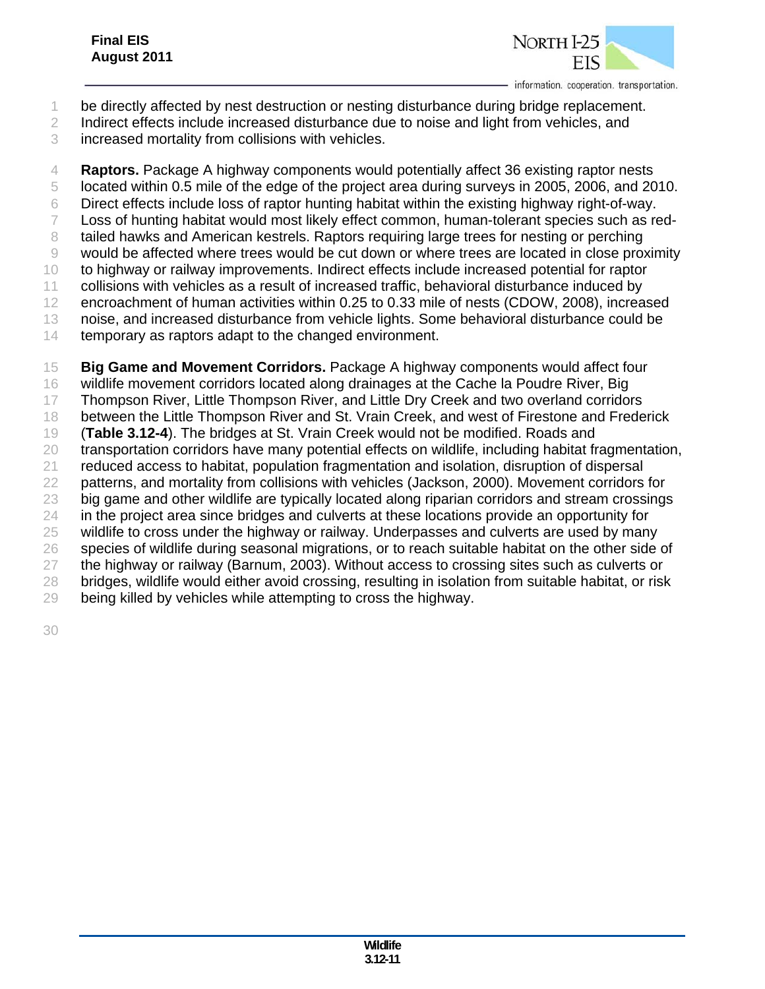

- be directly affected by nest destruction or nesting disturbance during bridge replacement.
- Indirect effects include increased disturbance due to noise and light from vehicles, and
- increased mortality from collisions with vehicles.

 **Raptors.** Package A highway components would potentially affect 36 existing raptor nests located within 0.5 mile of the edge of the project area during surveys in 2005, 2006, and 2010. Direct effects include loss of raptor hunting habitat within the existing highway right-of-way. Loss of hunting habitat would most likely effect common, human-tolerant species such as red- tailed hawks and American kestrels. Raptors requiring large trees for nesting or perching would be affected where trees would be cut down or where trees are located in close proximity to highway or railway improvements. Indirect effects include increased potential for raptor collisions with vehicles as a result of increased traffic, behavioral disturbance induced by encroachment of human activities within 0.25 to 0.33 mile of nests (CDOW, 2008), increased noise, and increased disturbance from vehicle lights. Some behavioral disturbance could be 14 temporary as raptors adapt to the changed environment. **Big Game and Movement Corridors.** Package A highway components would affect four

16 wildlife movement corridors located along drainages at the Cache la Poudre River, Big Thompson River, Little Thompson River, and Little Dry Creek and two overland corridors between the Little Thompson River and St. Vrain Creek, and west of Firestone and Frederick (**Table 3.12-4**). The bridges at St. Vrain Creek would not be modified. Roads and transportation corridors have many potential effects on wildlife, including habitat fragmentation, reduced access to habitat, population fragmentation and isolation, disruption of dispersal patterns, and mortality from collisions with vehicles (Jackson, 2000). Movement corridors for big game and other wildlife are typically located along riparian corridors and stream crossings 24 in the project area since bridges and culverts at these locations provide an opportunity for wildlife to cross under the highway or railway. Underpasses and culverts are used by many species of wildlife during seasonal migrations, or to reach suitable habitat on the other side of the highway or railway (Barnum, 2003). Without access to crossing sites such as culverts or bridges, wildlife would either avoid crossing, resulting in isolation from suitable habitat, or risk being killed by vehicles while attempting to cross the highway.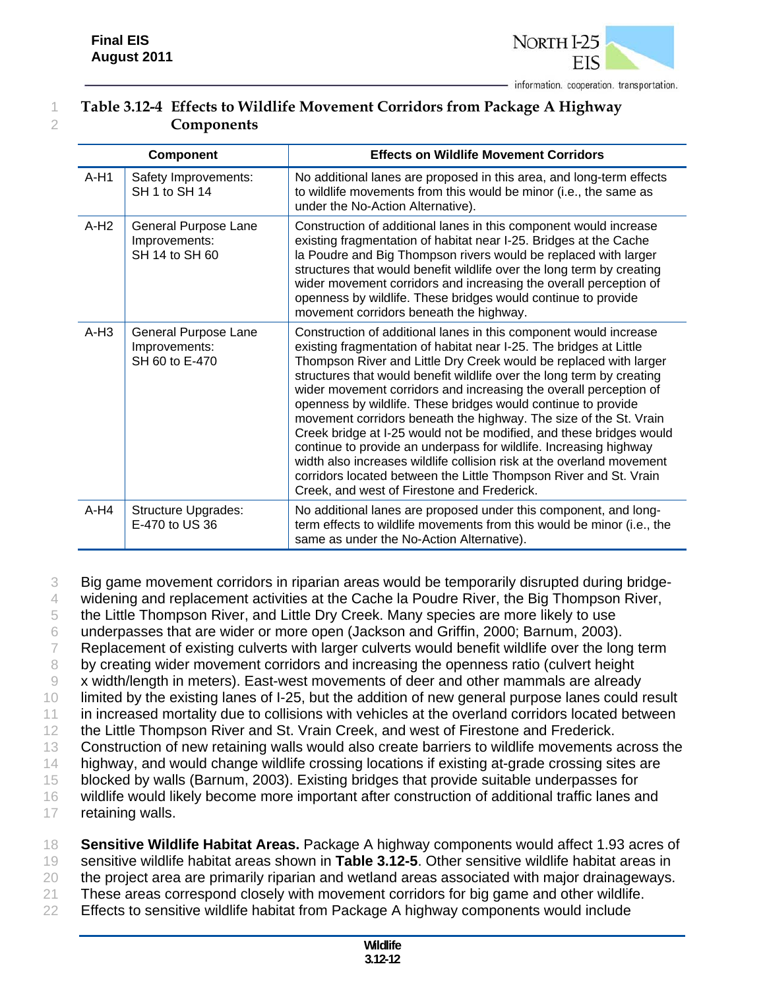

## 1 **Table 3.12-4 Effects to Wildlife Movement Corridors from Package A Highway**  2 **Components**

|        | <b>Component</b>                                        | <b>Effects on Wildlife Movement Corridors</b>                                                                                                                                                                                                                                                                                                                                                                                                                                                                                                                                                                                                                                                                                                                                                                                             |
|--------|---------------------------------------------------------|-------------------------------------------------------------------------------------------------------------------------------------------------------------------------------------------------------------------------------------------------------------------------------------------------------------------------------------------------------------------------------------------------------------------------------------------------------------------------------------------------------------------------------------------------------------------------------------------------------------------------------------------------------------------------------------------------------------------------------------------------------------------------------------------------------------------------------------------|
| $A-H1$ | Safety Improvements:<br>SH 1 to SH 14                   | No additional lanes are proposed in this area, and long-term effects<br>to wildlife movements from this would be minor (i.e., the same as<br>under the No-Action Alternative).                                                                                                                                                                                                                                                                                                                                                                                                                                                                                                                                                                                                                                                            |
| $A-H2$ | General Purpose Lane<br>Improvements:<br>SH 14 to SH 60 | Construction of additional lanes in this component would increase<br>existing fragmentation of habitat near I-25. Bridges at the Cache<br>la Poudre and Big Thompson rivers would be replaced with larger<br>structures that would benefit wildlife over the long term by creating<br>wider movement corridors and increasing the overall perception of<br>openness by wildlife. These bridges would continue to provide<br>movement corridors beneath the highway.                                                                                                                                                                                                                                                                                                                                                                       |
| $A-H3$ | General Purpose Lane<br>Improvements:<br>SH 60 to E-470 | Construction of additional lanes in this component would increase<br>existing fragmentation of habitat near I-25. The bridges at Little<br>Thompson River and Little Dry Creek would be replaced with larger<br>structures that would benefit wildlife over the long term by creating<br>wider movement corridors and increasing the overall perception of<br>openness by wildlife. These bridges would continue to provide<br>movement corridors beneath the highway. The size of the St. Vrain<br>Creek bridge at I-25 would not be modified, and these bridges would<br>continue to provide an underpass for wildlife. Increasing highway<br>width also increases wildlife collision risk at the overland movement<br>corridors located between the Little Thompson River and St. Vrain<br>Creek, and west of Firestone and Frederick. |
| $A-H4$ | <b>Structure Upgrades:</b><br>E-470 to US 36            | No additional lanes are proposed under this component, and long-<br>term effects to wildlife movements from this would be minor (i.e., the<br>same as under the No-Action Alternative).                                                                                                                                                                                                                                                                                                                                                                                                                                                                                                                                                                                                                                                   |

3 Big game movement corridors in riparian areas would be temporarily disrupted during bridge-

4 widening and replacement activities at the Cache la Poudre River, the Big Thompson River,

5 the Little Thompson River, and Little Dry Creek. Many species are more likely to use

6 underpasses that are wider or more open (Jackson and Griffin, 2000; Barnum, 2003).

7 Replacement of existing culverts with larger culverts would benefit wildlife over the long term

8 by creating wider movement corridors and increasing the openness ratio (culvert height

9 x width/length in meters). East-west movements of deer and other mammals are already

10 limited by the existing lanes of I-25, but the addition of new general purpose lanes could result 11 in increased mortality due to collisions with vehicles at the overland corridors located between

12 the Little Thompson River and St. Vrain Creek, and west of Firestone and Frederick.

13 Construction of new retaining walls would also create barriers to wildlife movements across the

14 highway, and would change wildlife crossing locations if existing at-grade crossing sites are

15 blocked by walls (Barnum, 2003). Existing bridges that provide suitable underpasses for

16 wildlife would likely become more important after construction of additional traffic lanes and

17 retaining walls.

18 **Sensitive Wildlife Habitat Areas.** Package A highway components would affect 1.93 acres of 19 sensitive wildlife habitat areas shown in **Table 3.12-5**. Other sensitive wildlife habitat areas in 20 the project area are primarily riparian and wetland areas associated with major drainageways.

21 These areas correspond closely with movement corridors for big game and other wildlife.

22 Effects to sensitive wildlife habitat from Package A highway components would include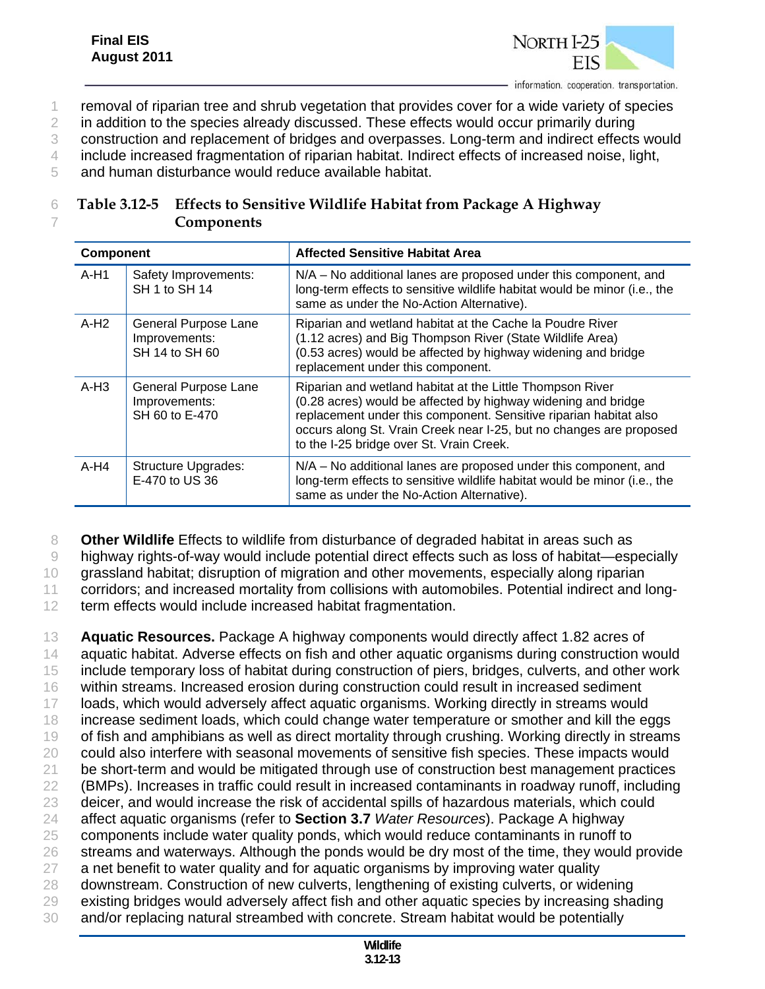

1 removal of riparian tree and shrub vegetation that provides cover for a wide variety of species

2 in addition to the species already discussed. These effects would occur primarily during

3 construction and replacement of bridges and overpasses. Long-term and indirect effects would

4 include increased fragmentation of riparian habitat. Indirect effects of increased noise, light,

5 and human disturbance would reduce available habitat.

## 6 **Table 3.12-5 Effects to Sensitive Wildlife Habitat from Package A Highway**  7 **Components**

| <b>Component</b> |                                                         | <b>Affected Sensitive Habitat Area</b>                                                                                                                                                                                                                                                                             |
|------------------|---------------------------------------------------------|--------------------------------------------------------------------------------------------------------------------------------------------------------------------------------------------------------------------------------------------------------------------------------------------------------------------|
| $A-H1$           | Safety Improvements:<br>SH 1 to SH 14                   | N/A - No additional lanes are proposed under this component, and<br>long-term effects to sensitive wildlife habitat would be minor (i.e., the<br>same as under the No-Action Alternative).                                                                                                                         |
| $A-H2$           | General Purpose Lane<br>Improvements:<br>SH 14 to SH 60 | Riparian and wetland habitat at the Cache la Poudre River<br>(1.12 acres) and Big Thompson River (State Wildlife Area)<br>(0.53 acres) would be affected by highway widening and bridge<br>replacement under this component.                                                                                       |
| $A-H3$           | General Purpose Lane<br>Improvements:<br>SH 60 to E-470 | Riparian and wetland habitat at the Little Thompson River<br>(0.28 acres) would be affected by highway widening and bridge<br>replacement under this component. Sensitive riparian habitat also<br>occurs along St. Vrain Creek near I-25, but no changes are proposed<br>to the I-25 bridge over St. Vrain Creek. |
| $A-H4$           | <b>Structure Upgrades:</b><br>E-470 to US 36            | N/A - No additional lanes are proposed under this component, and<br>long-term effects to sensitive wildlife habitat would be minor (i.e., the<br>same as under the No-Action Alternative).                                                                                                                         |

8 **Other Wildlife** Effects to wildlife from disturbance of degraded habitat in areas such as

9 highway rights-of-way would include potential direct effects such as loss of habitat—especially

10 grassland habitat; disruption of migration and other movements, especially along riparian

11 corridors; and increased mortality from collisions with automobiles. Potential indirect and long-

12 term effects would include increased habitat fragmentation.

 **Aquatic Resources.** Package A highway components would directly affect 1.82 acres of aquatic habitat. Adverse effects on fish and other aquatic organisms during construction would include temporary loss of habitat during construction of piers, bridges, culverts, and other work within streams. Increased erosion during construction could result in increased sediment loads, which would adversely affect aquatic organisms. Working directly in streams would increase sediment loads, which could change water temperature or smother and kill the eggs 19 of fish and amphibians as well as direct mortality through crushing. Working directly in streams could also interfere with seasonal movements of sensitive fish species. These impacts would 21 be short-term and would be mitigated through use of construction best management practices (BMPs). Increases in traffic could result in increased contaminants in roadway runoff, including deicer, and would increase the risk of accidental spills of hazardous materials, which could affect aquatic organisms (refer to **Section 3.7** *Water Resources*). Package A highway components include water quality ponds, which would reduce contaminants in runoff to 26 streams and waterways. Although the ponds would be dry most of the time, they would provide 27 a net benefit to water quality and for aquatic organisms by improving water quality downstream. Construction of new culverts, lengthening of existing culverts, or widening existing bridges would adversely affect fish and other aquatic species by increasing shading and/or replacing natural streambed with concrete. Stream habitat would be potentially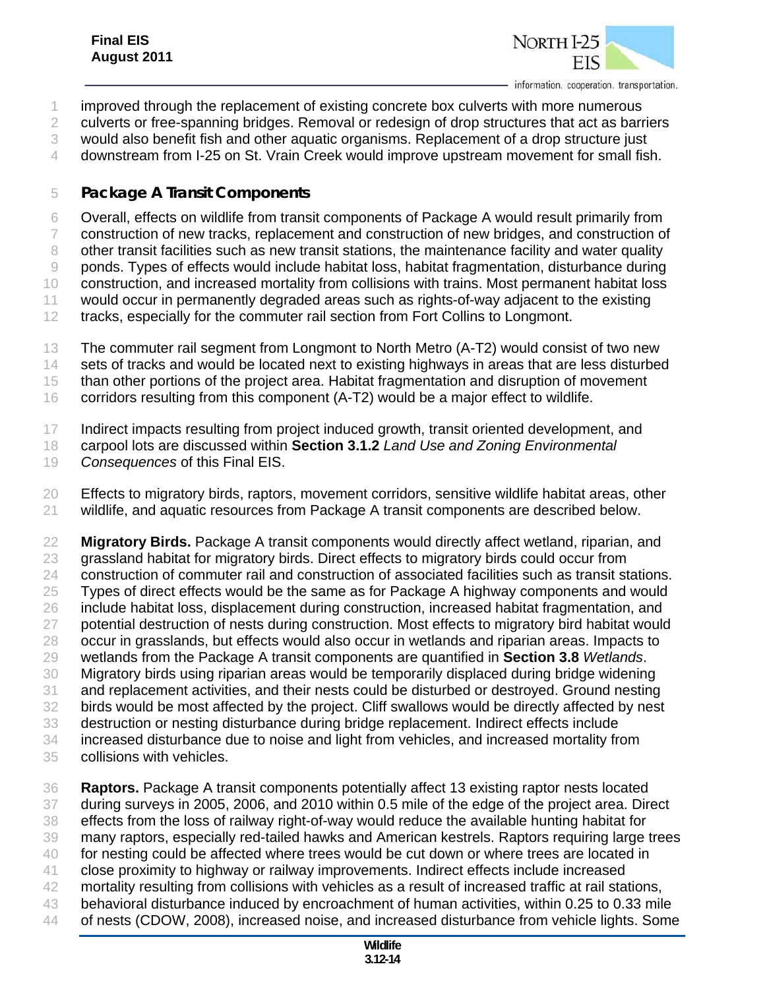

improved through the replacement of existing concrete box culverts with more numerous

culverts or free-spanning bridges. Removal or redesign of drop structures that act as barriers

would also benefit fish and other aquatic organisms. Replacement of a drop structure just

downstream from I-25 on St. Vrain Creek would improve upstream movement for small fish.

#### *Package A Transit Components*

 Overall, effects on wildlife from transit components of Package A would result primarily from construction of new tracks, replacement and construction of new bridges, and construction of 8 other transit facilities such as new transit stations, the maintenance facility and water quality ponds. Types of effects would include habitat loss, habitat fragmentation, disturbance during construction, and increased mortality from collisions with trains. Most permanent habitat loss would occur in permanently degraded areas such as rights-of-way adjacent to the existing tracks, especially for the commuter rail section from Fort Collins to Longmont.

The commuter rail segment from Longmont to North Metro (A-T2) would consist of two new

14 sets of tracks and would be located next to existing highways in areas that are less disturbed

than other portions of the project area. Habitat fragmentation and disruption of movement

corridors resulting from this component (A-T2) would be a major effect to wildlife.

Indirect impacts resulting from project induced growth, transit oriented development, and

carpool lots are discussed within **Section 3.1.2** *Land Use and Zoning Environmental* 

*Consequences* of this Final EIS.

 Effects to migratory birds, raptors, movement corridors, sensitive wildlife habitat areas, other wildlife, and aquatic resources from Package A transit components are described below.

 **Migratory Birds.** Package A transit components would directly affect wetland, riparian, and grassland habitat for migratory birds. Direct effects to migratory birds could occur from construction of commuter rail and construction of associated facilities such as transit stations. Types of direct effects would be the same as for Package A highway components and would include habitat loss, displacement during construction, increased habitat fragmentation, and 27 potential destruction of nests during construction. Most effects to migratory bird habitat would occur in grasslands, but effects would also occur in wetlands and riparian areas. Impacts to wetlands from the Package A transit components are quantified in **Section 3.8** *Wetlands*. Migratory birds using riparian areas would be temporarily displaced during bridge widening and replacement activities, and their nests could be disturbed or destroyed. Ground nesting birds would be most affected by the project. Cliff swallows would be directly affected by nest destruction or nesting disturbance during bridge replacement. Indirect effects include increased disturbance due to noise and light from vehicles, and increased mortality from collisions with vehicles.

 **Raptors.** Package A transit components potentially affect 13 existing raptor nests located during surveys in 2005, 2006, and 2010 within 0.5 mile of the edge of the project area. Direct effects from the loss of railway right-of-way would reduce the available hunting habitat for many raptors, especially red-tailed hawks and American kestrels. Raptors requiring large trees for nesting could be affected where trees would be cut down or where trees are located in close proximity to highway or railway improvements. Indirect effects include increased mortality resulting from collisions with vehicles as a result of increased traffic at rail stations, behavioral disturbance induced by encroachment of human activities, within 0.25 to 0.33 mile of nests (CDOW, 2008), increased noise, and increased disturbance from vehicle lights. Some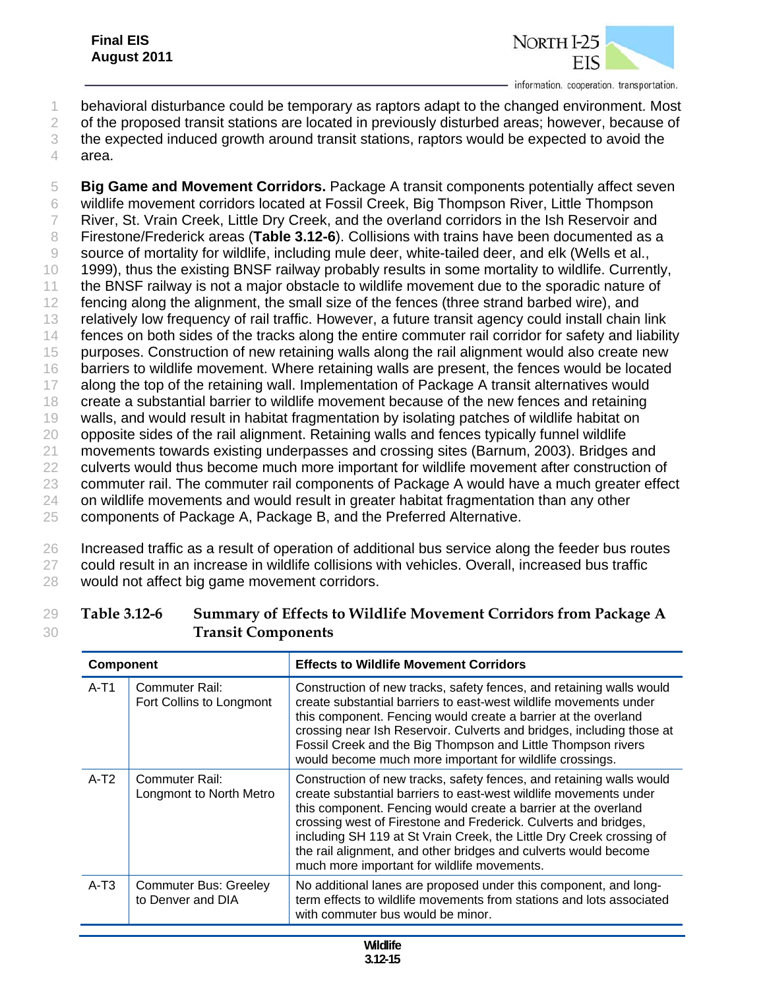

- 1 behavioral disturbance could be temporary as raptors adapt to the changed environment. Most
- 2 of the proposed transit stations are located in previously disturbed areas; however, because of

3 the expected induced growth around transit stations, raptors would be expected to avoid the

4 area.

 **Big Game and Movement Corridors.** Package A transit components potentially affect seven wildlife movement corridors located at Fossil Creek, Big Thompson River, Little Thompson River, St. Vrain Creek, Little Dry Creek, and the overland corridors in the Ish Reservoir and Firestone/Frederick areas (**Table 3.12-6**). Collisions with trains have been documented as a source of mortality for wildlife, including mule deer, white-tailed deer, and elk (Wells et al., 1999), thus the existing BNSF railway probably results in some mortality to wildlife. Currently, the BNSF railway is not a major obstacle to wildlife movement due to the sporadic nature of 12 fencing along the alignment, the small size of the fences (three strand barbed wire), and relatively low frequency of rail traffic. However, a future transit agency could install chain link fences on both sides of the tracks along the entire commuter rail corridor for safety and liability purposes. Construction of new retaining walls along the rail alignment would also create new barriers to wildlife movement. Where retaining walls are present, the fences would be located 17 along the top of the retaining wall. Implementation of Package A transit alternatives would create a substantial barrier to wildlife movement because of the new fences and retaining walls, and would result in habitat fragmentation by isolating patches of wildlife habitat on 20 opposite sides of the rail alignment. Retaining walls and fences typically funnel wildlife movements towards existing underpasses and crossing sites (Barnum, 2003). Bridges and 22 culverts would thus become much more important for wildlife movement after construction of commuter rail. The commuter rail components of Package A would have a much greater effect on wildlife movements and would result in greater habitat fragmentation than any other components of Package A, Package B, and the Preferred Alternative.

26 Increased traffic as a result of operation of additional bus service along the feeder bus routes 27 could result in an increase in wildlife collisions with vehicles. Overall, increased bus traffic 28 would not affect big game movement corridors.

| <b>Transit Components</b> |                                            |                                                                                                                                                                                                                                                                                                                                                                                                                                                                          |  |
|---------------------------|--------------------------------------------|--------------------------------------------------------------------------------------------------------------------------------------------------------------------------------------------------------------------------------------------------------------------------------------------------------------------------------------------------------------------------------------------------------------------------------------------------------------------------|--|
| <b>Component</b>          |                                            | <b>Effects to Wildlife Movement Corridors</b>                                                                                                                                                                                                                                                                                                                                                                                                                            |  |
| $A-T1$                    | Commuter Rail:<br>Fort Collins to Longmont | Construction of new tracks, safety fences, and retaining walls would<br>create substantial barriers to east-west wildlife movements under<br>this component. Fencing would create a barrier at the overland<br>crossing near Ish Reservoir. Culverts and bridges, including those at<br>Fossil Creek and the Big Thompson and Little Thompson rivers<br>would become much more important for wildlife crossings.                                                         |  |
| $A-T2$                    | Commuter Rail:<br>Longmont to North Metro  | Construction of new tracks, safety fences, and retaining walls would<br>create substantial barriers to east-west wildlife movements under<br>this component. Fencing would create a barrier at the overland<br>crossing west of Firestone and Frederick. Culverts and bridges,<br>including SH 119 at St Vrain Creek, the Little Dry Creek crossing of<br>the rail alignment, and other bridges and culverts would become<br>much more important for wildlife movements. |  |

A-T3 Commuter Bus: Greeley to Denver and DIA

| Table 3.12-6 | Summary of Effects to Wildlife Movement Corridors from Package A |
|--------------|------------------------------------------------------------------|
|              | <b>Transit Components</b>                                        |

No additional lanes are proposed under this component, and long-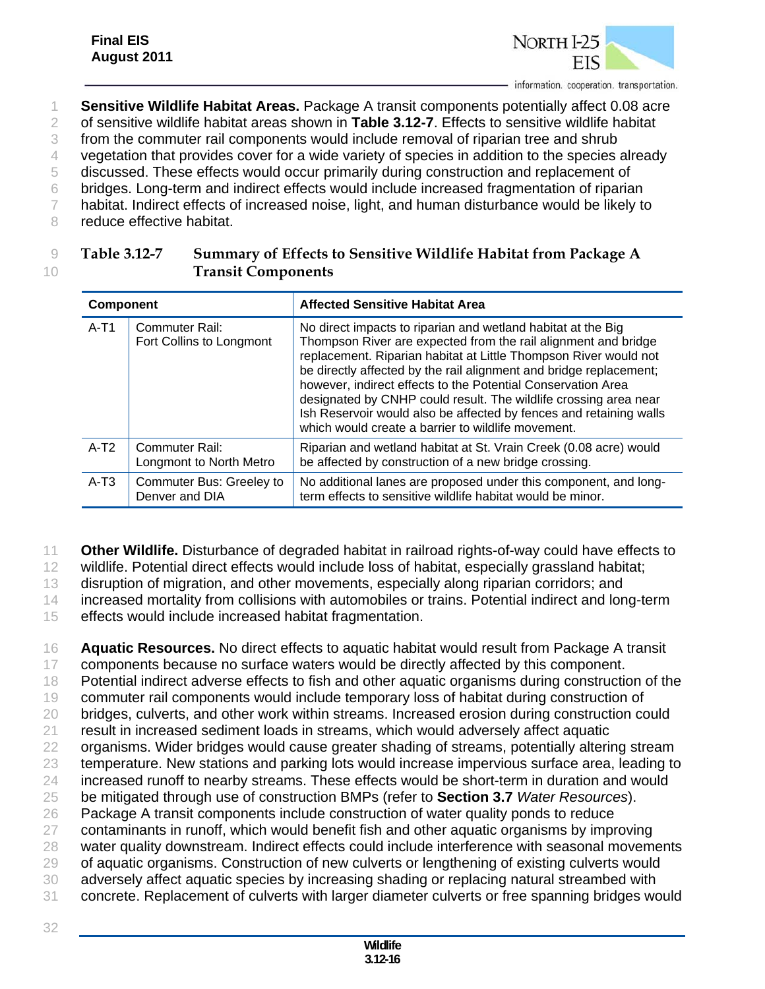

1 **Sensitive Wildlife Habitat Areas.** Package A transit components potentially affect 0.08 acre 2 of sensitive wildlife habitat areas shown in **Table 3.12-7**. Effects to sensitive wildlife habitat

3 from the commuter rail components would include removal of riparian tree and shrub

4 vegetation that provides cover for a wide variety of species in addition to the species already 5 discussed. These effects would occur primarily during construction and replacement of

- 6 bridges. Long-term and indirect effects would include increased fragmentation of riparian
- 7 habitat. Indirect effects of increased noise, light, and human disturbance would be likely to

8 reduce effective habitat.

32

## 9 **Table 3.12-7 Summary of Effects to Sensitive Wildlife Habitat from Package A**  10 **Transit Components**

| <b>Component</b> |                                            | <b>Affected Sensitive Habitat Area</b>                                                                                                                                                                                                                                                                                                                                                                                                                                                                                                   |
|------------------|--------------------------------------------|------------------------------------------------------------------------------------------------------------------------------------------------------------------------------------------------------------------------------------------------------------------------------------------------------------------------------------------------------------------------------------------------------------------------------------------------------------------------------------------------------------------------------------------|
| $A-T1$           | Commuter Rail:<br>Fort Collins to Longmont | No direct impacts to riparian and wetland habitat at the Big<br>Thompson River are expected from the rail alignment and bridge<br>replacement. Riparian habitat at Little Thompson River would not<br>be directly affected by the rail alignment and bridge replacement;<br>however, indirect effects to the Potential Conservation Area<br>designated by CNHP could result. The wildlife crossing area near<br>Ish Reservoir would also be affected by fences and retaining walls<br>which would create a barrier to wildlife movement. |
| $A-T2$           | Commuter Rail:<br>Longmont to North Metro  | Riparian and wetland habitat at St. Vrain Creek (0.08 acre) would<br>be affected by construction of a new bridge crossing.                                                                                                                                                                                                                                                                                                                                                                                                               |
| $A-T3$           | Commuter Bus: Greeley to<br>Denver and DIA | No additional lanes are proposed under this component, and long-<br>term effects to sensitive wildlife habitat would be minor.                                                                                                                                                                                                                                                                                                                                                                                                           |

11 **Other Wildlife.** Disturbance of degraded habitat in railroad rights-of-way could have effects to

12 wildlife. Potential direct effects would include loss of habitat, especially grassland habitat;

13 disruption of migration, and other movements, especially along riparian corridors; and

14 increased mortality from collisions with automobiles or trains. Potential indirect and long-term

15 effects would include increased habitat fragmentation.

 **Aquatic Resources.** No direct effects to aquatic habitat would result from Package A transit components because no surface waters would be directly affected by this component. Potential indirect adverse effects to fish and other aquatic organisms during construction of the commuter rail components would include temporary loss of habitat during construction of bridges, culverts, and other work within streams. Increased erosion during construction could result in increased sediment loads in streams, which would adversely affect aquatic organisms. Wider bridges would cause greater shading of streams, potentially altering stream temperature. New stations and parking lots would increase impervious surface area, leading to increased runoff to nearby streams. These effects would be short-term in duration and would be mitigated through use of construction BMPs (refer to **Section 3.7** *Water Resources*). Package A transit components include construction of water quality ponds to reduce contaminants in runoff, which would benefit fish and other aquatic organisms by improving water quality downstream. Indirect effects could include interference with seasonal movements of aquatic organisms. Construction of new culverts or lengthening of existing culverts would adversely affect aquatic species by increasing shading or replacing natural streambed with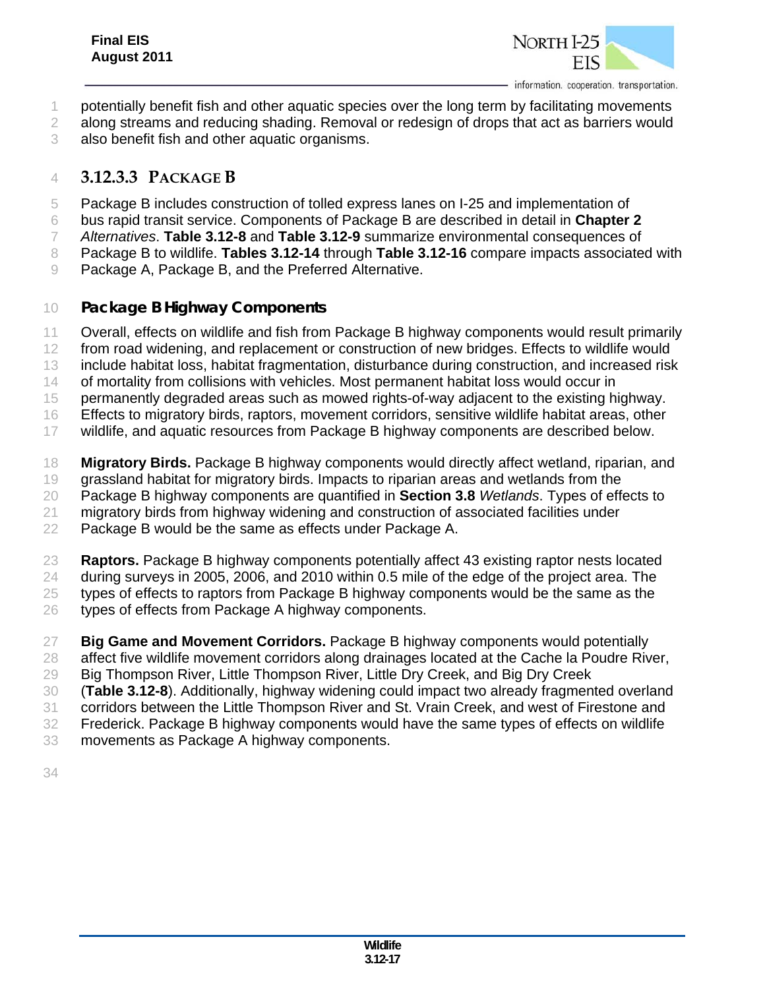

- potentially benefit fish and other aquatic species over the long term by facilitating movements
- 2 along streams and reducing shading. Removal or redesign of drops that act as barriers would
- also benefit fish and other aquatic organisms.

## **3.12.3.3 PACKAGE B**

- Package B includes construction of tolled express lanes on I-25 and implementation of
- bus rapid transit service. Components of Package B are described in detail in **Chapter 2**
- *Alternatives*. **Table 3.12-8** and **Table 3.12-9** summarize environmental consequences of
- Package B to wildlife. **Tables 3.12-14** through **Table 3.12-16** compare impacts associated with
- Package A, Package B, and the Preferred Alternative.

#### *Package B Highway Components*

- Overall, effects on wildlife and fish from Package B highway components would result primarily
- from road widening, and replacement or construction of new bridges. Effects to wildlife would
- include habitat loss, habitat fragmentation, disturbance during construction, and increased risk
- of mortality from collisions with vehicles. Most permanent habitat loss would occur in
- permanently degraded areas such as mowed rights-of-way adjacent to the existing highway.
- Effects to migratory birds, raptors, movement corridors, sensitive wildlife habitat areas, other
- wildlife, and aquatic resources from Package B highway components are described below.
- **Migratory Birds.** Package B highway components would directly affect wetland, riparian, and
- grassland habitat for migratory birds. Impacts to riparian areas and wetlands from the
- Package B highway components are quantified in **Section 3.8** *Wetlands*. Types of effects to
- migratory birds from highway widening and construction of associated facilities under
- Package B would be the same as effects under Package A.
- **Raptors.** Package B highway components potentially affect 43 existing raptor nests located
- during surveys in 2005, 2006, and 2010 within 0.5 mile of the edge of the project area. The
- types of effects to raptors from Package B highway components would be the same as the
- types of effects from Package A highway components.
- **Big Game and Movement Corridors.** Package B highway components would potentially
- affect five wildlife movement corridors along drainages located at the Cache la Poudre River,
- Big Thompson River, Little Thompson River, Little Dry Creek, and Big Dry Creek
- (**Table 3.12-8**). Additionally, highway widening could impact two already fragmented overland
- corridors between the Little Thompson River and St. Vrain Creek, and west of Firestone and
- Frederick. Package B highway components would have the same types of effects on wildlife
- movements as Package A highway components.
-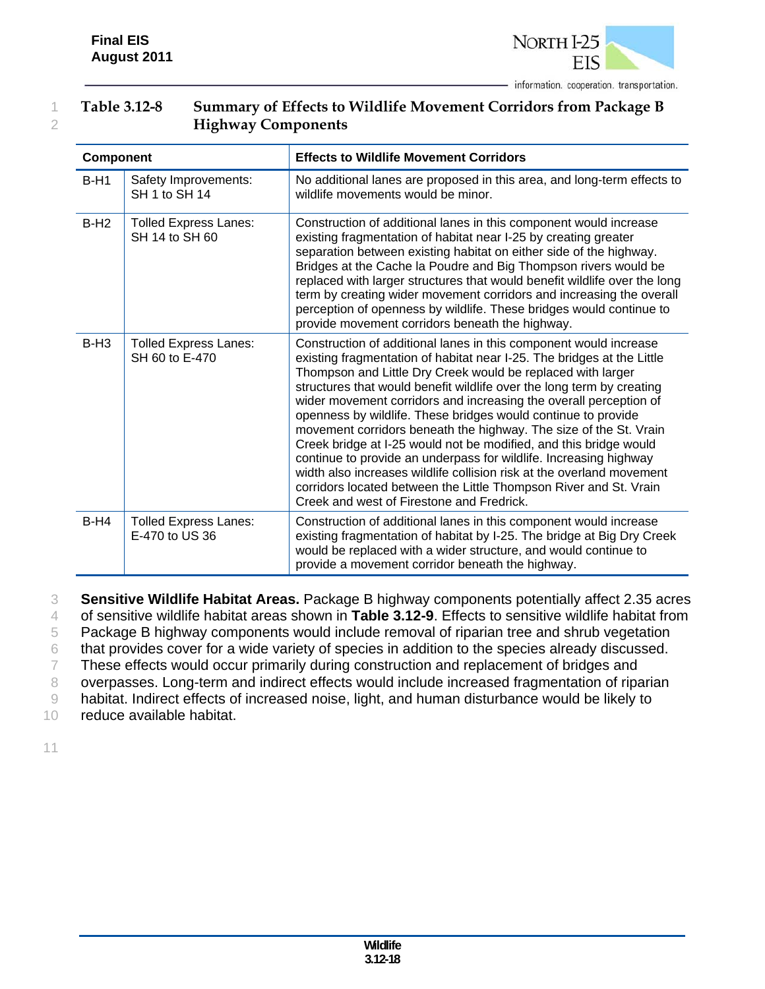

#### 1 **Table 3.12-8 Summary of Effects to Wildlife Movement Corridors from Package B**  2 **Highway Components**

| <b>Component</b> |                                                | <b>Effects to Wildlife Movement Corridors</b>                                                                                                                                                                                                                                                                                                                                                                                                                                                                                                                                                                                                                                                                                                                                                                                       |
|------------------|------------------------------------------------|-------------------------------------------------------------------------------------------------------------------------------------------------------------------------------------------------------------------------------------------------------------------------------------------------------------------------------------------------------------------------------------------------------------------------------------------------------------------------------------------------------------------------------------------------------------------------------------------------------------------------------------------------------------------------------------------------------------------------------------------------------------------------------------------------------------------------------------|
| $B-H1$           | Safety Improvements:<br>SH 1 to SH 14          | No additional lanes are proposed in this area, and long-term effects to<br>wildlife movements would be minor.                                                                                                                                                                                                                                                                                                                                                                                                                                                                                                                                                                                                                                                                                                                       |
| $B-H2$           | <b>Tolled Express Lanes:</b><br>SH 14 to SH 60 | Construction of additional lanes in this component would increase<br>existing fragmentation of habitat near I-25 by creating greater<br>separation between existing habitat on either side of the highway.<br>Bridges at the Cache la Poudre and Big Thompson rivers would be<br>replaced with larger structures that would benefit wildlife over the long<br>term by creating wider movement corridors and increasing the overall<br>perception of openness by wildlife. These bridges would continue to<br>provide movement corridors beneath the highway.                                                                                                                                                                                                                                                                        |
| $B-H3$           | <b>Tolled Express Lanes:</b><br>SH 60 to E-470 | Construction of additional lanes in this component would increase<br>existing fragmentation of habitat near I-25. The bridges at the Little<br>Thompson and Little Dry Creek would be replaced with larger<br>structures that would benefit wildlife over the long term by creating<br>wider movement corridors and increasing the overall perception of<br>openness by wildlife. These bridges would continue to provide<br>movement corridors beneath the highway. The size of the St. Vrain<br>Creek bridge at I-25 would not be modified, and this bridge would<br>continue to provide an underpass for wildlife. Increasing highway<br>width also increases wildlife collision risk at the overland movement<br>corridors located between the Little Thompson River and St. Vrain<br>Creek and west of Firestone and Fredrick. |
| $B-H4$           | <b>Tolled Express Lanes:</b><br>E-470 to US 36 | Construction of additional lanes in this component would increase<br>existing fragmentation of habitat by I-25. The bridge at Big Dry Creek<br>would be replaced with a wider structure, and would continue to<br>provide a movement corridor beneath the highway.                                                                                                                                                                                                                                                                                                                                                                                                                                                                                                                                                                  |

3 **Sensitive Wildlife Habitat Areas.** Package B highway components potentially affect 2.35 acres

4 of sensitive wildlife habitat areas shown in **Table 3.12-9**. Effects to sensitive wildlife habitat from

5 Package B highway components would include removal of riparian tree and shrub vegetation

6 that provides cover for a wide variety of species in addition to the species already discussed.

7 These effects would occur primarily during construction and replacement of bridges and

8 overpasses. Long-term and indirect effects would include increased fragmentation of riparian

9 habitat. Indirect effects of increased noise, light, and human disturbance would be likely to

10 reduce available habitat.

11

**Wildlife 3.12-18**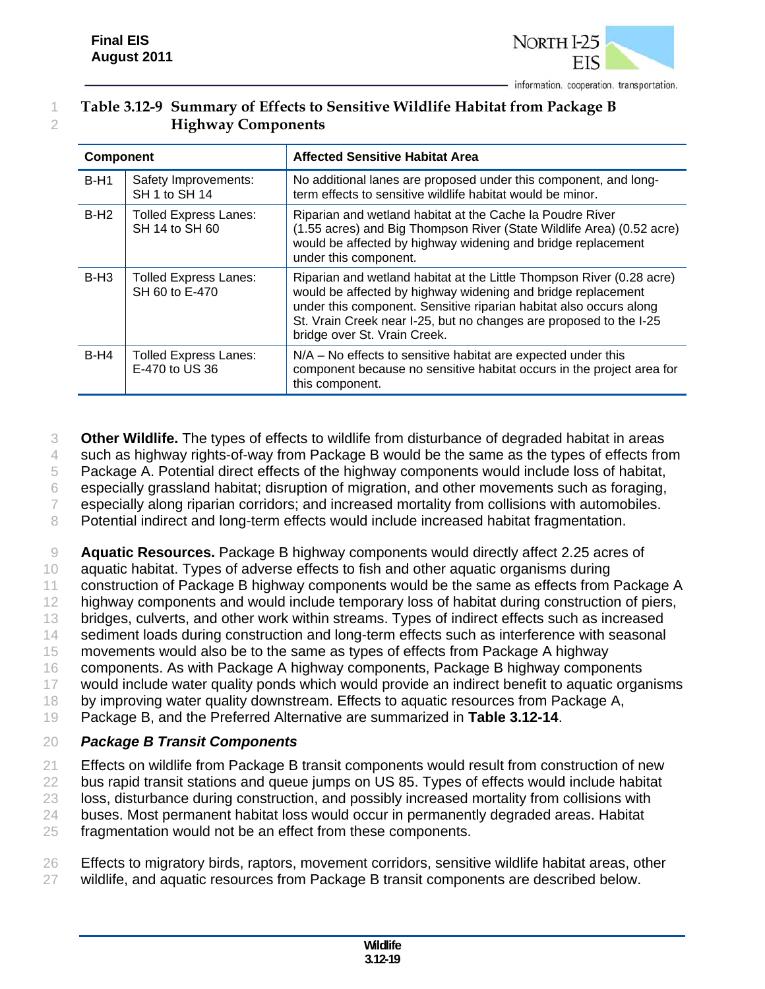

## 1 **Table 3.12-9 Summary of Effects to Sensitive Wildlife Habitat from Package B**  2 **Highway Components**

| <b>Component</b> |                                                | <b>Affected Sensitive Habitat Area</b>                                                                                                                                                                                                                                                                            |  |  |
|------------------|------------------------------------------------|-------------------------------------------------------------------------------------------------------------------------------------------------------------------------------------------------------------------------------------------------------------------------------------------------------------------|--|--|
| $B-H1$           | Safety Improvements:<br>SH 1 to SH 14          | No additional lanes are proposed under this component, and long-<br>term effects to sensitive wildlife habitat would be minor.                                                                                                                                                                                    |  |  |
| $B-H2$           | <b>Tolled Express Lanes:</b><br>SH 14 to SH 60 | Riparian and wetland habitat at the Cache la Poudre River<br>(1.55 acres) and Big Thompson River (State Wildlife Area) (0.52 acre)<br>would be affected by highway widening and bridge replacement<br>under this component.                                                                                       |  |  |
| $B-H3$           | <b>Tolled Express Lanes:</b><br>SH 60 to E-470 | Riparian and wetland habitat at the Little Thompson River (0.28 acre)<br>would be affected by highway widening and bridge replacement<br>under this component. Sensitive riparian habitat also occurs along<br>St. Vrain Creek near I-25, but no changes are proposed to the I-25<br>bridge over St. Vrain Creek. |  |  |
| $B-H4$           | <b>Tolled Express Lanes:</b><br>E-470 to US 36 | N/A - No effects to sensitive habitat are expected under this<br>component because no sensitive habitat occurs in the project area for<br>this component.                                                                                                                                                         |  |  |

3 **Other Wildlife.** The types of effects to wildlife from disturbance of degraded habitat in areas

4 such as highway rights-of-way from Package B would be the same as the types of effects from

5 Package A. Potential direct effects of the highway components would include loss of habitat,

6 especially grassland habitat; disruption of migration, and other movements such as foraging,

7 especially along riparian corridors; and increased mortality from collisions with automobiles.

8 Potential indirect and long-term effects would include increased habitat fragmentation.

9 **Aquatic Resources.** Package B highway components would directly affect 2.25 acres of

10 aquatic habitat. Types of adverse effects to fish and other aquatic organisms during

11 construction of Package B highway components would be the same as effects from Package A

12 highway components and would include temporary loss of habitat during construction of piers,

13 bridges, culverts, and other work within streams. Types of indirect effects such as increased 14 sediment loads during construction and long-term effects such as interference with seasonal

15 movements would also be to the same as types of effects from Package A highway

16 components. As with Package A highway components, Package B highway components

17 would include water quality ponds which would provide an indirect benefit to aquatic organisms

18 by improving water quality downstream. Effects to aquatic resources from Package A,

19 Package B, and the Preferred Alternative are summarized in **Table 3.12-14**.

## 20 *Package B Transit Components*

21 Effects on wildlife from Package B transit components would result from construction of new

22 bus rapid transit stations and queue jumps on US 85. Types of effects would include habitat

23 loss, disturbance during construction, and possibly increased mortality from collisions with

24 buses. Most permanent habitat loss would occur in permanently degraded areas. Habitat

25 fragmentation would not be an effect from these components.

26 Effects to migratory birds, raptors, movement corridors, sensitive wildlife habitat areas, other

27 wildlife, and aquatic resources from Package B transit components are described below.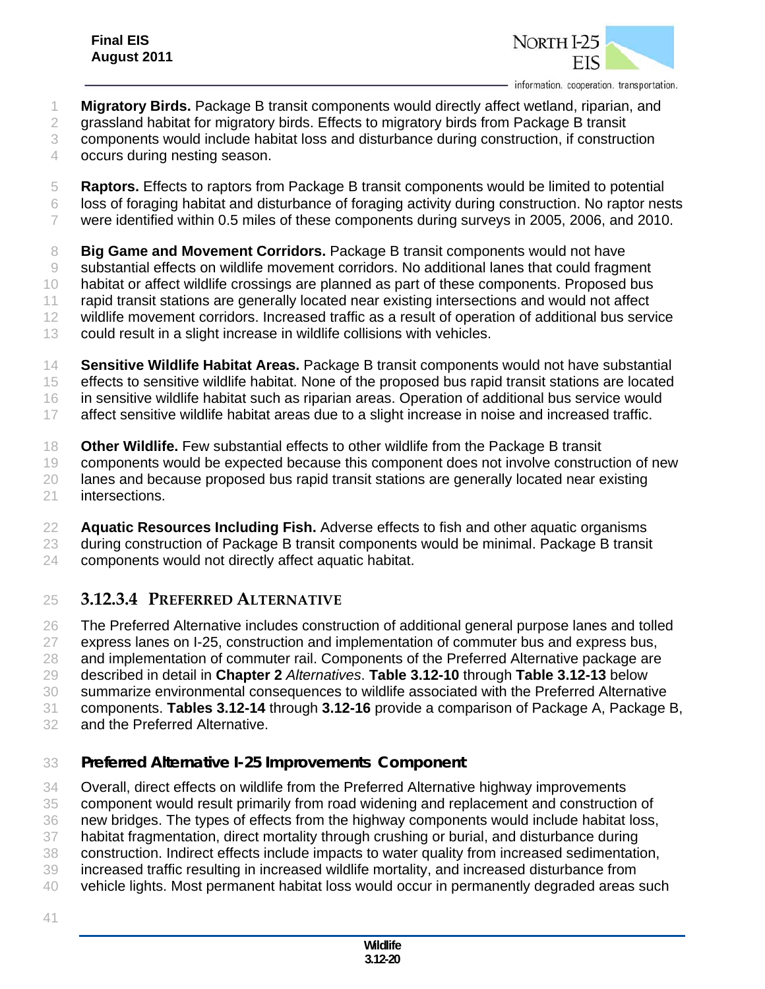

- **Migratory Birds.** Package B transit components would directly affect wetland, riparian, and
- grassland habitat for migratory birds. Effects to migratory birds from Package B transit
- components would include habitat loss and disturbance during construction, if construction
- occurs during nesting season.
- **Raptors.** Effects to raptors from Package B transit components would be limited to potential
- loss of foraging habitat and disturbance of foraging activity during construction. No raptor nests
- were identified within 0.5 miles of these components during surveys in 2005, 2006, and 2010.

 **Big Game and Movement Corridors.** Package B transit components would not have substantial effects on wildlife movement corridors. No additional lanes that could fragment habitat or affect wildlife crossings are planned as part of these components. Proposed bus rapid transit stations are generally located near existing intersections and would not affect wildlife movement corridors. Increased traffic as a result of operation of additional bus service could result in a slight increase in wildlife collisions with vehicles.

 **Sensitive Wildlife Habitat Areas.** Package B transit components would not have substantial effects to sensitive wildlife habitat. None of the proposed bus rapid transit stations are located in sensitive wildlife habitat such as riparian areas. Operation of additional bus service would affect sensitive wildlife habitat areas due to a slight increase in noise and increased traffic.

 **Other Wildlife.** Few substantial effects to other wildlife from the Package B transit components would be expected because this component does not involve construction of new lanes and because proposed bus rapid transit stations are generally located near existing intersections.

 **Aquatic Resources Including Fish.** Adverse effects to fish and other aquatic organisms during construction of Package B transit components would be minimal. Package B transit components would not directly affect aquatic habitat.

## **3.12.3.4 PREFERRED ALTERNATIVE**

 The Preferred Alternative includes construction of additional general purpose lanes and tolled express lanes on I-25, construction and implementation of commuter bus and express bus, 28 and implementation of commuter rail. Components of the Preferred Alternative package are described in detail in **Chapter 2** *Alternatives*. **Table 3.12-10** through **Table 3.12-13** below summarize environmental consequences to wildlife associated with the Preferred Alternative components. **Tables 3.12-14** through **3.12-16** provide a comparison of Package A, Package B, and the Preferred Alternative.

## *Preferred Alternative I-25 Improvements Component*

Overall, direct effects on wildlife from the Preferred Alternative highway improvements

component would result primarily from road widening and replacement and construction of

new bridges. The types of effects from the highway components would include habitat loss,

habitat fragmentation, direct mortality through crushing or burial, and disturbance during

construction. Indirect effects include impacts to water quality from increased sedimentation,

- increased traffic resulting in increased wildlife mortality, and increased disturbance from
- vehicle lights. Most permanent habitat loss would occur in permanently degraded areas such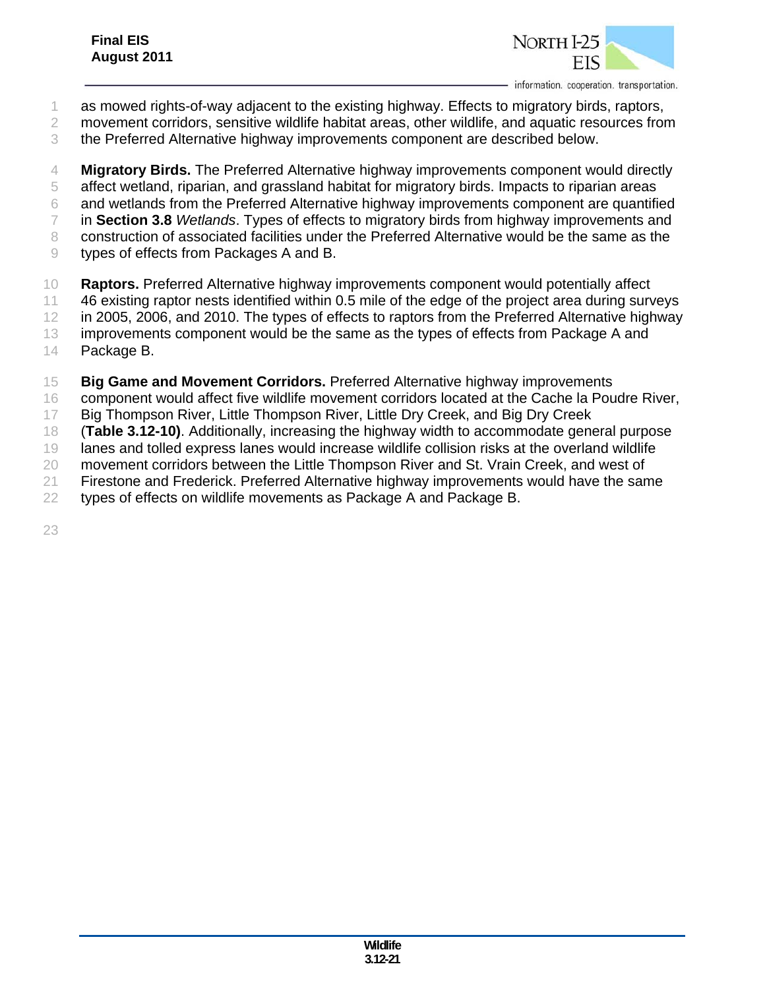

- as mowed rights-of-way adjacent to the existing highway. Effects to migratory birds, raptors,
- movement corridors, sensitive wildlife habitat areas, other wildlife, and aquatic resources from
- the Preferred Alternative highway improvements component are described below.

 **Migratory Birds.** The Preferred Alternative highway improvements component would directly affect wetland, riparian, and grassland habitat for migratory birds. Impacts to riparian areas and wetlands from the Preferred Alternative highway improvements component are quantified in **Section 3.8** *Wetlands*. Types of effects to migratory birds from highway improvements and construction of associated facilities under the Preferred Alternative would be the same as the types of effects from Packages A and B.

- **Raptors.** Preferred Alternative highway improvements component would potentially affect
- 46 existing raptor nests identified within 0.5 mile of the edge of the project area during surveys
- in 2005, 2006, and 2010. The types of effects to raptors from the Preferred Alternative highway
- improvements component would be the same as the types of effects from Package A and
- Package B.
- **Big Game and Movement Corridors.** Preferred Alternative highway improvements
- component would affect five wildlife movement corridors located at the Cache la Poudre River,
- Big Thompson River, Little Thompson River, Little Dry Creek, and Big Dry Creek
- (**Table 3.12-10)**. Additionally, increasing the highway width to accommodate general purpose
- lanes and tolled express lanes would increase wildlife collision risks at the overland wildlife
- movement corridors between the Little Thompson River and St. Vrain Creek, and west of
- Firestone and Frederick. Preferred Alternative highway improvements would have the same
- types of effects on wildlife movements as Package A and Package B.
-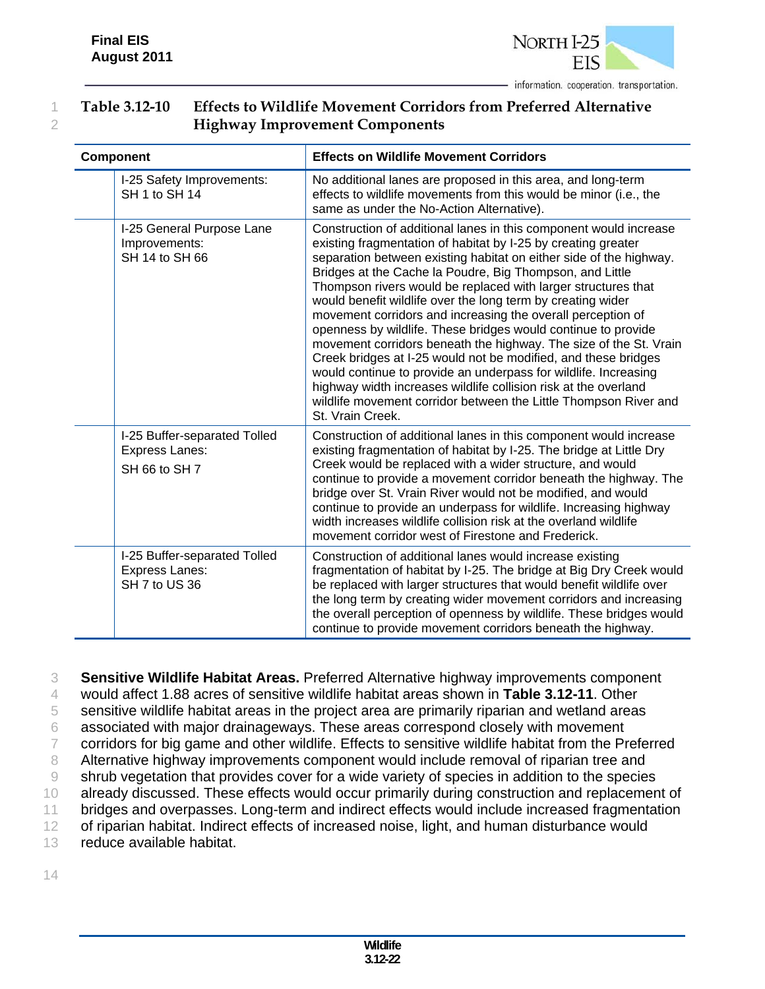

#### 1 **Table 3.12-10 Effects to Wildlife Movement Corridors from Preferred Alternative**  2 **Highway Improvement Components**

| <b>Component</b>                                                       | <b>Effects on Wildlife Movement Corridors</b>                                                                                                                                                                                                                                                                                                                                                                                                                                                                                                                                                                                                                                                                                                                                                                                                                                                             |  |  |
|------------------------------------------------------------------------|-----------------------------------------------------------------------------------------------------------------------------------------------------------------------------------------------------------------------------------------------------------------------------------------------------------------------------------------------------------------------------------------------------------------------------------------------------------------------------------------------------------------------------------------------------------------------------------------------------------------------------------------------------------------------------------------------------------------------------------------------------------------------------------------------------------------------------------------------------------------------------------------------------------|--|--|
| I-25 Safety Improvements:<br>SH 1 to SH 14                             | No additional lanes are proposed in this area, and long-term<br>effects to wildlife movements from this would be minor (i.e., the<br>same as under the No-Action Alternative).                                                                                                                                                                                                                                                                                                                                                                                                                                                                                                                                                                                                                                                                                                                            |  |  |
| I-25 General Purpose Lane<br>Improvements:<br>SH 14 to SH 66           | Construction of additional lanes in this component would increase<br>existing fragmentation of habitat by I-25 by creating greater<br>separation between existing habitat on either side of the highway.<br>Bridges at the Cache la Poudre, Big Thompson, and Little<br>Thompson rivers would be replaced with larger structures that<br>would benefit wildlife over the long term by creating wider<br>movement corridors and increasing the overall perception of<br>openness by wildlife. These bridges would continue to provide<br>movement corridors beneath the highway. The size of the St. Vrain<br>Creek bridges at I-25 would not be modified, and these bridges<br>would continue to provide an underpass for wildlife. Increasing<br>highway width increases wildlife collision risk at the overland<br>wildlife movement corridor between the Little Thompson River and<br>St. Vrain Creek. |  |  |
| I-25 Buffer-separated Tolled<br><b>Express Lanes:</b><br>SH 66 to SH 7 | Construction of additional lanes in this component would increase<br>existing fragmentation of habitat by I-25. The bridge at Little Dry<br>Creek would be replaced with a wider structure, and would<br>continue to provide a movement corridor beneath the highway. The<br>bridge over St. Vrain River would not be modified, and would<br>continue to provide an underpass for wildlife. Increasing highway<br>width increases wildlife collision risk at the overland wildlife<br>movement corridor west of Firestone and Frederick.                                                                                                                                                                                                                                                                                                                                                                  |  |  |
| I-25 Buffer-separated Tolled<br><b>Express Lanes:</b><br>SH 7 to US 36 | Construction of additional lanes would increase existing<br>fragmentation of habitat by I-25. The bridge at Big Dry Creek would<br>be replaced with larger structures that would benefit wildlife over<br>the long term by creating wider movement corridors and increasing<br>the overall perception of openness by wildlife. These bridges would<br>continue to provide movement corridors beneath the highway.                                                                                                                                                                                                                                                                                                                                                                                                                                                                                         |  |  |

 **Sensitive Wildlife Habitat Areas.** Preferred Alternative highway improvements component would affect 1.88 acres of sensitive wildlife habitat areas shown in **Table 3.12-11**. Other sensitive wildlife habitat areas in the project area are primarily riparian and wetland areas associated with major drainageways. These areas correspond closely with movement corridors for big game and other wildlife. Effects to sensitive wildlife habitat from the Preferred 8 Alternative highway improvements component would include removal of riparian tree and shrub vegetation that provides cover for a wide variety of species in addition to the species already discussed. These effects would occur primarily during construction and replacement of 11 bridges and overpasses. Long-term and indirect effects would include increased fragmentation 12 of riparian habitat. Indirect effects of increased noise, light, and human disturbance would reduce available habitat.

14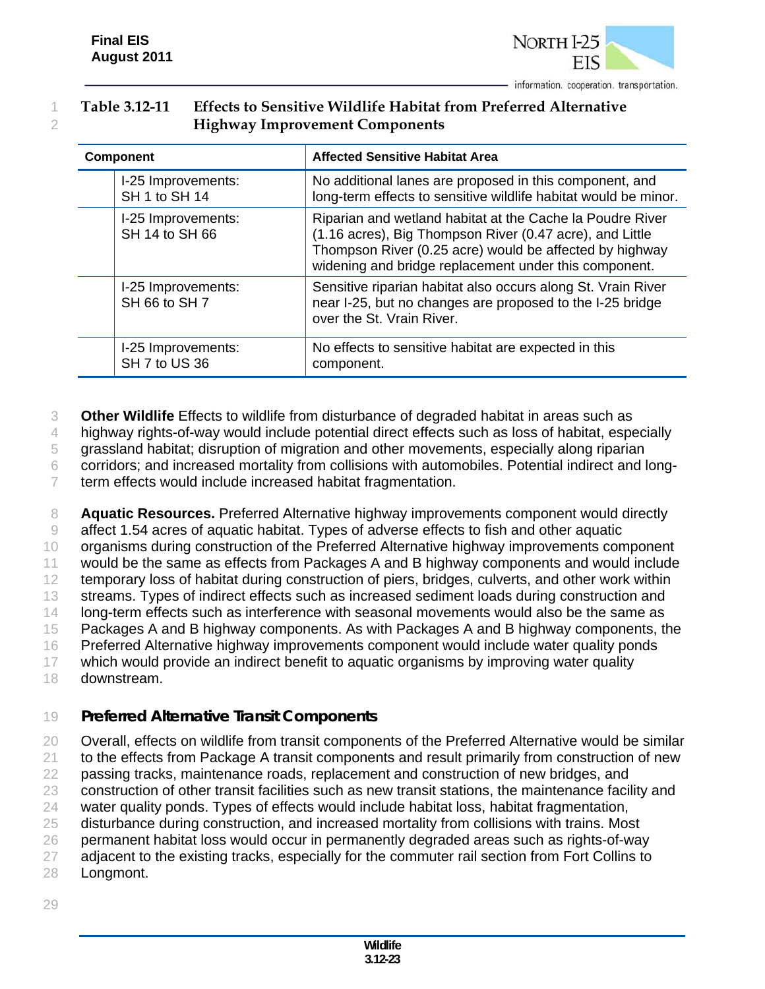

#### 1 **Table 3.12-11 Effects to Sensitive Wildlife Habitat from Preferred Alternative**  2 **Highway Improvement Components**

| <b>Component</b> |                                      | <b>Affected Sensitive Habitat Area</b>                                                                                                                                                                                                    |  |  |
|------------------|--------------------------------------|-------------------------------------------------------------------------------------------------------------------------------------------------------------------------------------------------------------------------------------------|--|--|
|                  | I-25 Improvements:<br>SH 1 to SH 14  | No additional lanes are proposed in this component, and<br>long-term effects to sensitive wildlife habitat would be minor.                                                                                                                |  |  |
|                  | I-25 Improvements:<br>SH 14 to SH 66 | Riparian and wetland habitat at the Cache la Poudre River<br>(1.16 acres), Big Thompson River (0.47 acre), and Little<br>Thompson River (0.25 acre) would be affected by highway<br>widening and bridge replacement under this component. |  |  |
|                  | I-25 Improvements:<br>SH 66 to SH 7  | Sensitive riparian habitat also occurs along St. Vrain River<br>near I-25, but no changes are proposed to the I-25 bridge<br>over the St. Vrain River.                                                                                    |  |  |
|                  | I-25 Improvements:<br>SH 7 to US 36  | No effects to sensitive habitat are expected in this<br>component.                                                                                                                                                                        |  |  |

3 **Other Wildlife** Effects to wildlife from disturbance of degraded habitat in areas such as

4 highway rights-of-way would include potential direct effects such as loss of habitat, especially

5 grassland habitat; disruption of migration and other movements, especially along riparian

6 corridors; and increased mortality from collisions with automobiles. Potential indirect and long-

7 term effects would include increased habitat fragmentation.

 **Aquatic Resources.** Preferred Alternative highway improvements component would directly affect 1.54 acres of aquatic habitat. Types of adverse effects to fish and other aquatic 10 organisms during construction of the Preferred Alternative highway improvements component would be the same as effects from Packages A and B highway components and would include 12 temporary loss of habitat during construction of piers, bridges, culverts, and other work within 13 streams. Types of indirect effects such as increased sediment loads during construction and 14 long-term effects such as interference with seasonal movements would also be the same as Packages A and B highway components. As with Packages A and B highway components, the Preferred Alternative highway improvements component would include water quality ponds which would provide an indirect benefit to aquatic organisms by improving water quality downstream.

## 19 *Preferred Alternative Transit Components*

20 Overall, effects on wildlife from transit components of the Preferred Alternative would be similar

21 to the effects from Package A transit components and result primarily from construction of new

22 passing tracks, maintenance roads, replacement and construction of new bridges, and

23 construction of other transit facilities such as new transit stations, the maintenance facility and

24 water quality ponds. Types of effects would include habitat loss, habitat fragmentation,

25 disturbance during construction, and increased mortality from collisions with trains. Most

26 permanent habitat loss would occur in permanently degraded areas such as rights-of-way

- 27 adjacent to the existing tracks, especially for the commuter rail section from Fort Collins to
- 28 Longmont.
- 29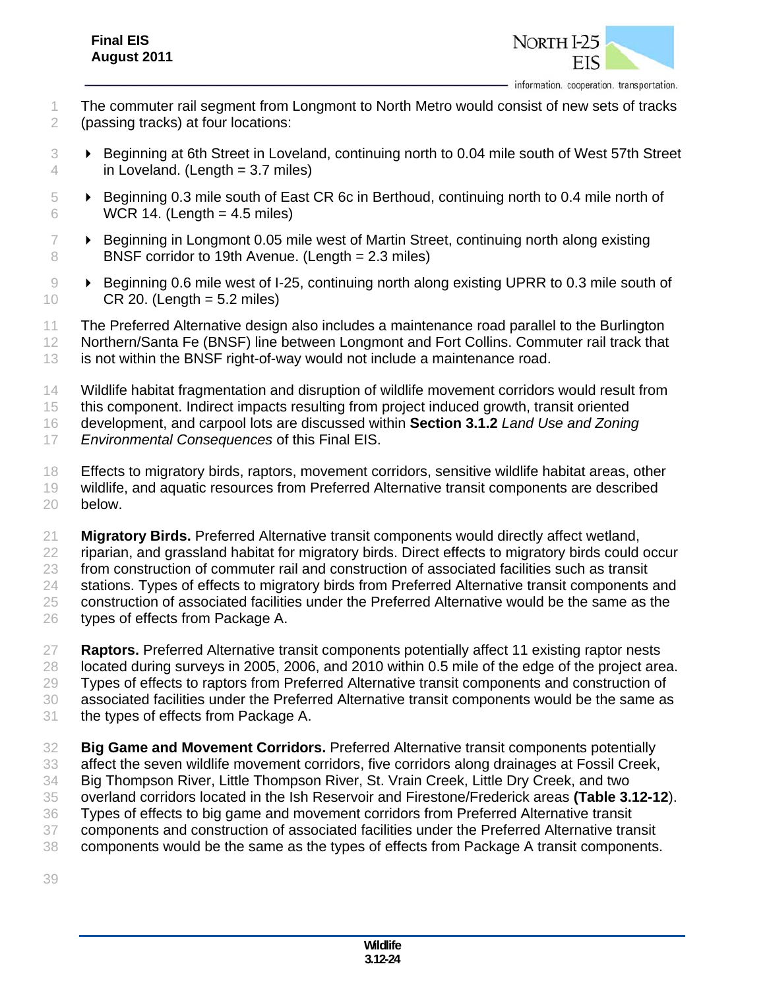

- The commuter rail segment from Longmont to North Metro would consist of new sets of tracks (passing tracks) at four locations:
- Beginning at 6th Street in Loveland, continuing north to 0.04 mile south of West 57th Street 4 in Loveland. (Length  $= 3.7$  miles)
- Beginning 0.3 mile south of East CR 6c in Berthoud, continuing north to 0.4 mile north of WCR 14. (Length = 4.5 miles)
- $7 \rightarrow$  Beginning in Longmont 0.05 mile west of Martin Street, continuing north along existing BNSF corridor to 19th Avenue. (Length = 2.3 miles)
- 9 **Beginning 0.6 mile west of I-25, continuing north along existing UPRR to 0.3 mile south of** CR 20. (Length = 5.2 miles)
- The Preferred Alternative design also includes a maintenance road parallel to the Burlington
- Northern/Santa Fe (BNSF) line between Longmont and Fort Collins. Commuter rail track that
- is not within the BNSF right-of-way would not include a maintenance road.
- Wildlife habitat fragmentation and disruption of wildlife movement corridors would result from
- this component. Indirect impacts resulting from project induced growth, transit oriented

development, and carpool lots are discussed within **Section 3.1.2** *Land Use and Zoning* 

- *Environmental Consequences* of this Final EIS.
- Effects to migratory birds, raptors, movement corridors, sensitive wildlife habitat areas, other wildlife, and aquatic resources from Preferred Alternative transit components are described below.
- **Migratory Birds.** Preferred Alternative transit components would directly affect wetland, riparian, and grassland habitat for migratory birds. Direct effects to migratory birds could occur from construction of commuter rail and construction of associated facilities such as transit stations. Types of effects to migratory birds from Preferred Alternative transit components and construction of associated facilities under the Preferred Alternative would be the same as the types of effects from Package A.
- **Raptors.** Preferred Alternative transit components potentially affect 11 existing raptor nests located during surveys in 2005, 2006, and 2010 within 0.5 mile of the edge of the project area. Types of effects to raptors from Preferred Alternative transit components and construction of associated facilities under the Preferred Alternative transit components would be the same as the types of effects from Package A.
- **Big Game and Movement Corridors.** Preferred Alternative transit components potentially affect the seven wildlife movement corridors, five corridors along drainages at Fossil Creek, Big Thompson River, Little Thompson River, St. Vrain Creek, Little Dry Creek, and two overland corridors located in the Ish Reservoir and Firestone/Frederick areas **(Table 3.12-12**). Types of effects to big game and movement corridors from Preferred Alternative transit components and construction of associated facilities under the Preferred Alternative transit components would be the same as the types of effects from Package A transit components.
-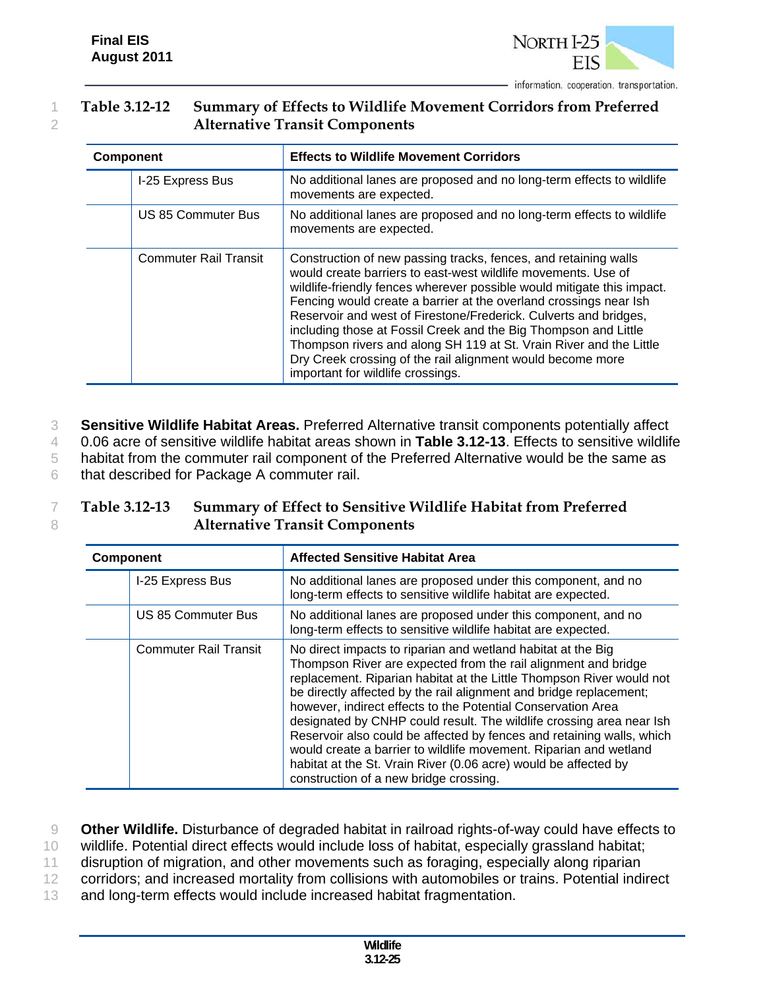

#### 1 **Table 3.12-12 Summary of Effects to Wildlife Movement Corridors from Preferred**  2 **Alternative Transit Components**

| <b>Component</b> |                              | <b>Effects to Wildlife Movement Corridors</b>                                                                                                                                                                                                                                                                                                                                                                                                                                                                                                                                                   |  |  |  |
|------------------|------------------------------|-------------------------------------------------------------------------------------------------------------------------------------------------------------------------------------------------------------------------------------------------------------------------------------------------------------------------------------------------------------------------------------------------------------------------------------------------------------------------------------------------------------------------------------------------------------------------------------------------|--|--|--|
|                  | I-25 Express Bus             | No additional lanes are proposed and no long-term effects to wildlife<br>movements are expected.                                                                                                                                                                                                                                                                                                                                                                                                                                                                                                |  |  |  |
|                  | US 85 Commuter Bus           | No additional lanes are proposed and no long-term effects to wildlife<br>movements are expected.                                                                                                                                                                                                                                                                                                                                                                                                                                                                                                |  |  |  |
|                  | <b>Commuter Rail Transit</b> | Construction of new passing tracks, fences, and retaining walls<br>would create barriers to east-west wildlife movements. Use of<br>wildlife-friendly fences wherever possible would mitigate this impact.<br>Fencing would create a barrier at the overland crossings near Ish<br>Reservoir and west of Firestone/Frederick. Culverts and bridges,<br>including those at Fossil Creek and the Big Thompson and Little<br>Thompson rivers and along SH 119 at St. Vrain River and the Little<br>Dry Creek crossing of the rail alignment would become more<br>important for wildlife crossings. |  |  |  |

 **Sensitive Wildlife Habitat Areas.** Preferred Alternative transit components potentially affect 0.06 acre of sensitive wildlife habitat areas shown in **Table 3.12-13**. Effects to sensitive wildlife habitat from the commuter rail component of the Preferred Alternative would be the same as that described for Package A commuter rail.

#### 7 **Table 3.12-13 Summary of Effect to Sensitive Wildlife Habitat from Preferred**  8 **Alternative Transit Components**

| <b>Component</b> |                              | <b>Affected Sensitive Habitat Area</b>                                                                                                                                                                                                                                                                                                                                                                                                                                                                                                                                                                                                                                          |  |  |
|------------------|------------------------------|---------------------------------------------------------------------------------------------------------------------------------------------------------------------------------------------------------------------------------------------------------------------------------------------------------------------------------------------------------------------------------------------------------------------------------------------------------------------------------------------------------------------------------------------------------------------------------------------------------------------------------------------------------------------------------|--|--|
|                  | I-25 Express Bus             | No additional lanes are proposed under this component, and no<br>long-term effects to sensitive wildlife habitat are expected.                                                                                                                                                                                                                                                                                                                                                                                                                                                                                                                                                  |  |  |
|                  | US 85 Commuter Bus           | No additional lanes are proposed under this component, and no<br>long-term effects to sensitive wildlife habitat are expected.                                                                                                                                                                                                                                                                                                                                                                                                                                                                                                                                                  |  |  |
|                  | <b>Commuter Rail Transit</b> | No direct impacts to riparian and wetland habitat at the Big<br>Thompson River are expected from the rail alignment and bridge<br>replacement. Riparian habitat at the Little Thompson River would not<br>be directly affected by the rail alignment and bridge replacement;<br>however, indirect effects to the Potential Conservation Area<br>designated by CNHP could result. The wildlife crossing area near Ish<br>Reservoir also could be affected by fences and retaining walls, which<br>would create a barrier to wildlife movement. Riparian and wetland<br>habitat at the St. Vrain River (0.06 acre) would be affected by<br>construction of a new bridge crossing. |  |  |

9 **Other Wildlife.** Disturbance of degraded habitat in railroad rights-of-way could have effects to

10 wildlife. Potential direct effects would include loss of habitat, especially grassland habitat;

11 disruption of migration, and other movements such as foraging, especially along riparian

- 12 corridors; and increased mortality from collisions with automobiles or trains. Potential indirect
- 13 and long-term effects would include increased habitat fragmentation.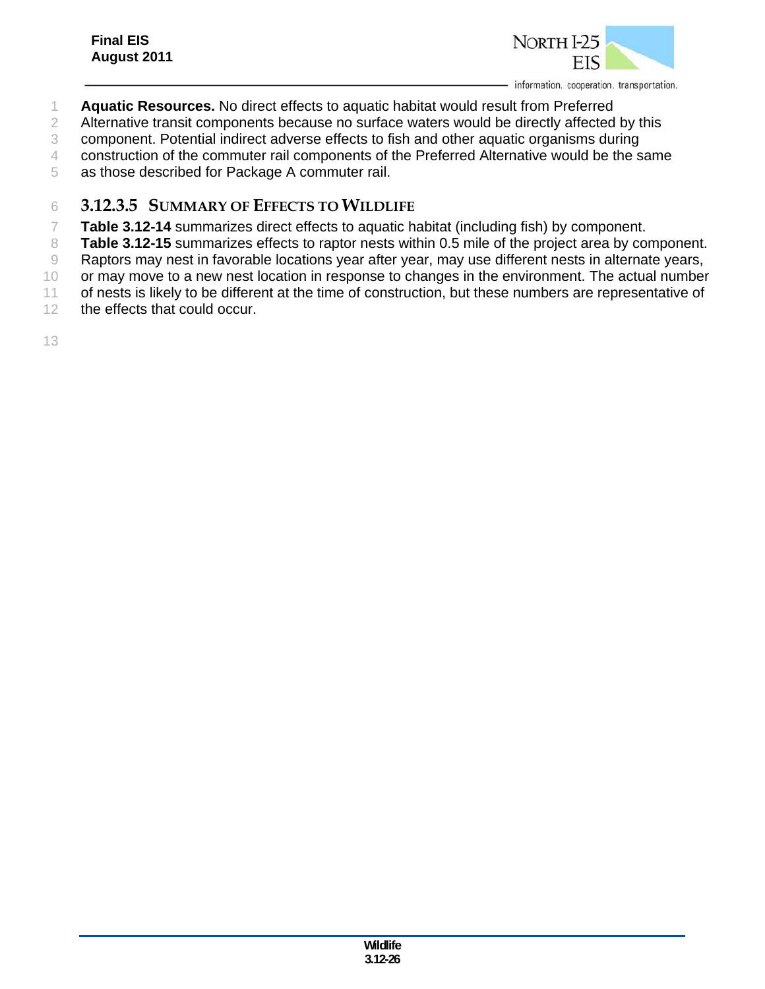

- 1 **Aquatic Resources.** No direct effects to aquatic habitat would result from Preferred
- 2 Alternative transit components because no surface waters would be directly affected by this
- 3 component. Potential indirect adverse effects to fish and other aquatic organisms during
- 4 construction of the commuter rail components of the Preferred Alternative would be the same

5 as those described for Package A commuter rail.

- 6 **3.12.3.5 SUMMARY OF EFFECTS TO WILDLIFE**
- 7 **Table 3.12-14** summarizes direct effects to aquatic habitat (including fish) by component.
- 8 **Table 3.12-15** summarizes effects to raptor nests within 0.5 mile of the project area by component.
- 9 Raptors may nest in favorable locations year after year, may use different nests in alternate years,
- 10 or may move to a new nest location in response to changes in the environment. The actual number
- 11 of nests is likely to be different at the time of construction, but these numbers are representative of
- 12 the effects that could occur.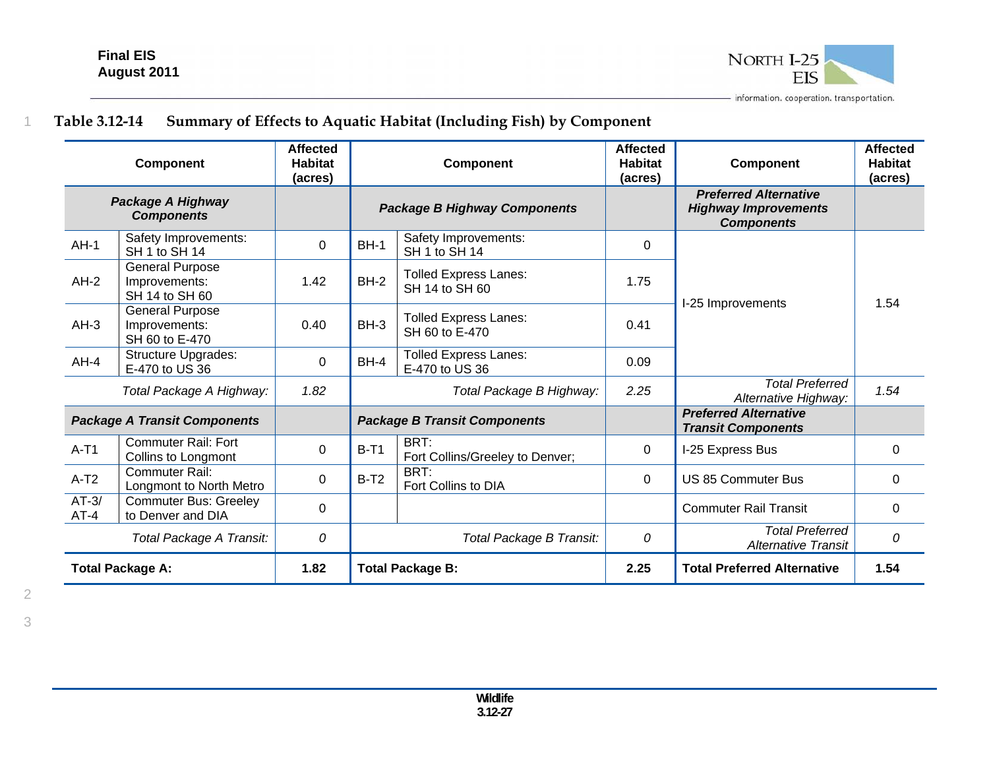

# **Table 3.12-14 Summary of Effects to Aquatic Habitat (Including Fish) by Component**

| Component                              |                                                           | <b>Affected</b><br><b>Habitat</b><br>(acres) | <b>Component</b>                    |                                                | <b>Affected</b><br><b>Habitat</b><br>(acres) | <b>Component</b>                                                                 | <b>Affected</b><br><b>Habitat</b><br>(acres) |
|----------------------------------------|-----------------------------------------------------------|----------------------------------------------|-------------------------------------|------------------------------------------------|----------------------------------------------|----------------------------------------------------------------------------------|----------------------------------------------|
| Package A Highway<br><b>Components</b> |                                                           |                                              | <b>Package B Highway Components</b> |                                                |                                              | <b>Preferred Alternative</b><br><b>Highway Improvements</b><br><b>Components</b> |                                              |
| $AH-1$                                 | Safety Improvements:<br>SH 1 to SH 14                     | 0                                            | $BH-1$                              | Safety Improvements:<br>SH 1 to SH 14          | 0                                            |                                                                                  |                                              |
| $AH-2$                                 | <b>General Purpose</b><br>Improvements:<br>SH 14 to SH 60 | 1.42                                         | $BH-2$                              | <b>Tolled Express Lanes:</b><br>SH 14 to SH 60 | 1.75                                         | I-25 Improvements                                                                | 1.54                                         |
| $AH-3$                                 | <b>General Purpose</b><br>Improvements:<br>SH 60 to E-470 | 0.40                                         | $BH-3$                              | <b>Tolled Express Lanes:</b><br>SH 60 to E-470 | 0.41                                         |                                                                                  |                                              |
| $AH-4$                                 | <b>Structure Upgrades:</b><br>E-470 to US 36              | 0                                            | $BH-4$                              | <b>Tolled Express Lanes:</b><br>E-470 to US 36 | 0.09                                         |                                                                                  |                                              |
| Total Package A Highway:               |                                                           | 1.82                                         |                                     | Total Package B Highway:                       | 2.25                                         | <b>Total Preferred</b><br>Alternative Highway:                                   | 1.54                                         |
| <b>Package A Transit Components</b>    |                                                           |                                              |                                     | <b>Package B Transit Components</b>            |                                              | <b>Preferred Alternative</b><br><b>Transit Components</b>                        |                                              |
| $A-T1$                                 | <b>Commuter Rail: Fort</b><br>Collins to Longmont         | 0                                            | $B-T1$                              | BRT:<br>Fort Collins/Greeley to Denver;        | 0                                            | I-25 Express Bus                                                                 | 0                                            |
| $A-T2$                                 | Commuter Rail:<br>Longmont to North Metro                 | $\Omega$                                     | $B-T2$                              | BRT:<br>Fort Collins to DIA                    |                                              | <b>US 85 Commuter Bus</b>                                                        | 0                                            |
| $AT-3/$<br>$AT-4$                      | <b>Commuter Bus: Greeley</b><br>to Denver and DIA         | $\Omega$                                     |                                     |                                                |                                              | <b>Commuter Rail Transit</b>                                                     | $\Omega$                                     |
| Total Package A Transit:               |                                                           | 0                                            | Total Package B Transit:            |                                                | 0                                            | <b>Total Preferred</b><br><b>Alternative Transit</b>                             | 0                                            |
| <b>Total Package A:</b>                |                                                           | 1.82                                         |                                     | <b>Total Package B:</b>                        | 2.25                                         | <b>Total Preferred Alternative</b>                                               | 1.54                                         |

1

**Wildlife 3.12-27**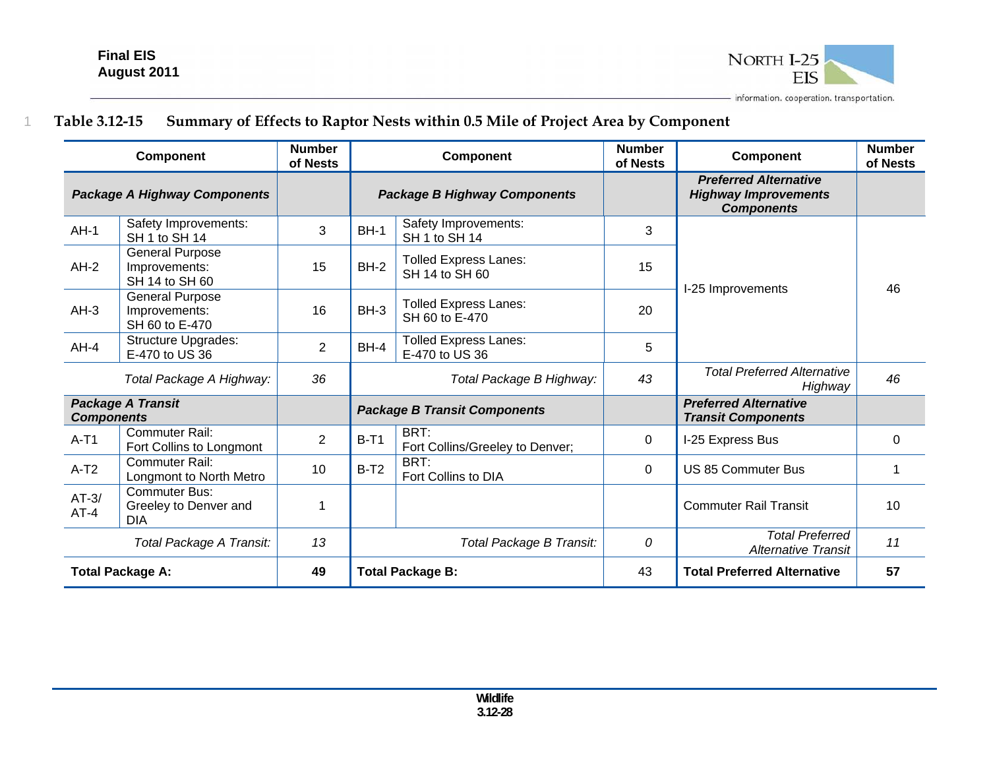1



# **Table 3.12-15 Summary of Effects to Raptor Nests within 0.5 Mile of Project Area by Component**

| <b>Component</b>                    |                                                             | <b>Number</b><br>of Nests | <b>Component</b>                    |                                                | <b>Number</b><br>of Nests | Component                                                                        | <b>Number</b><br>of Nests |
|-------------------------------------|-------------------------------------------------------------|---------------------------|-------------------------------------|------------------------------------------------|---------------------------|----------------------------------------------------------------------------------|---------------------------|
| <b>Package A Highway Components</b> |                                                             |                           | <b>Package B Highway Components</b> |                                                |                           | <b>Preferred Alternative</b><br><b>Highway Improvements</b><br><b>Components</b> |                           |
| $AH-1$                              | Safety Improvements:<br>SH 1 to SH 14                       | 3                         | <b>BH-1</b>                         | Safety Improvements:<br>SH 1 to SH 14          | 3                         |                                                                                  |                           |
| $AH-2$                              | <b>General Purpose</b><br>Improvements:<br>SH 14 to SH 60   | 15                        | $BH-2$                              | <b>Tolled Express Lanes:</b><br>SH 14 to SH 60 | 15                        | I-25 Improvements                                                                | 46                        |
| $AH-3$                              | <b>General Purpose</b><br>Improvements:<br>SH 60 to E-470   | 16                        | $BH-3$                              | <b>Tolled Express Lanes:</b><br>SH 60 to E-470 | 20                        |                                                                                  |                           |
| $AH-4$                              | <b>Structure Upgrades:</b><br>E-470 to US 36                | $\overline{2}$            | $BH-4$                              | <b>Tolled Express Lanes:</b><br>E-470 to US 36 | 5                         |                                                                                  |                           |
| Total Package A Highway:            |                                                             | 36                        | Total Package B Highway:            |                                                | 43                        | <b>Total Preferred Alternative</b><br>Highway                                    | 46                        |
| <b>Components</b>                   | <b>Package A Transit</b>                                    |                           |                                     | <b>Package B Transit Components</b>            |                           | <b>Preferred Alternative</b><br><b>Transit Components</b>                        |                           |
| $A-T1$                              | <b>Commuter Rail:</b><br>Fort Collins to Longmont           | $\overline{2}$            | $B-T1$                              | BRT:<br>Fort Collins/Greeley to Denver;        | 0                         | I-25 Express Bus                                                                 | $\mathbf 0$               |
| $A-T2$                              | Commuter Rail:<br>Longmont to North Metro                   | 10                        | $B-T2$                              | BRT:<br>Fort Collins to DIA                    |                           | <b>US 85 Commuter Bus</b>                                                        |                           |
| $AT-3/$<br>$AT-4$                   | <b>Commuter Bus:</b><br>Greeley to Denver and<br><b>DIA</b> | 1                         |                                     |                                                |                           | <b>Commuter Rail Transit</b>                                                     | 10                        |
| Total Package A Transit:            |                                                             | 13                        | Total Package B Transit:            |                                                | 0                         | <b>Total Preferred</b><br><b>Alternative Transit</b>                             | 11                        |
| <b>Total Package A:</b>             |                                                             | 49                        | <b>Total Package B:</b>             |                                                | 43                        | <b>Total Preferred Alternative</b>                                               | 57                        |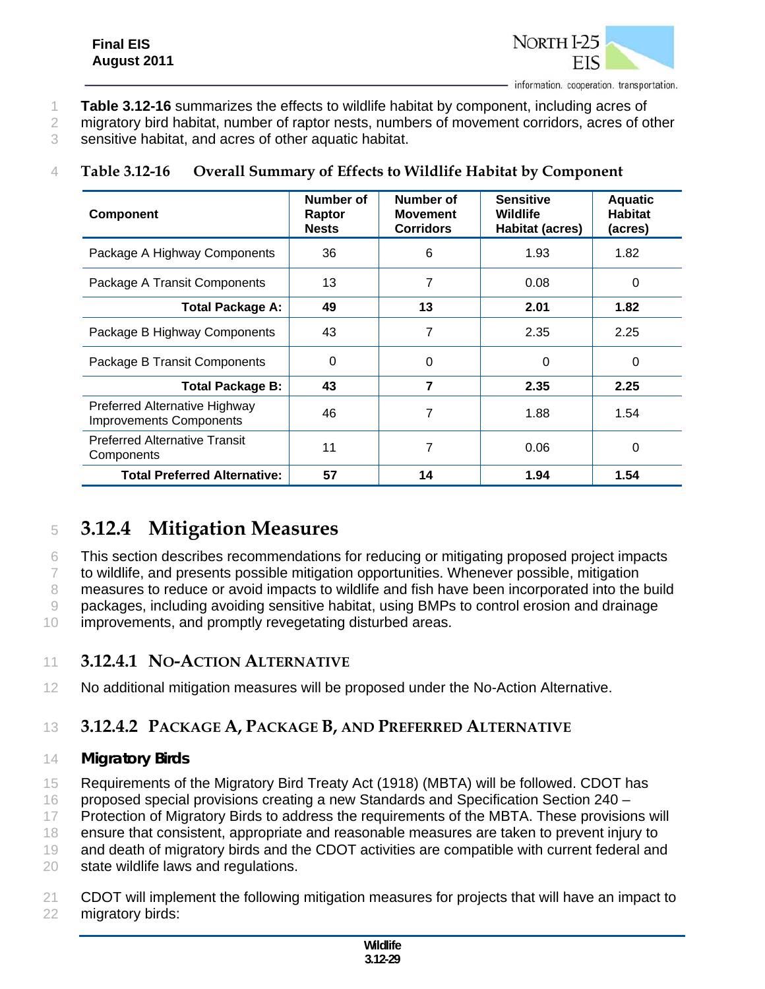

- 1 **Table 3.12-16** summarizes the effects to wildlife habitat by component, including acres of
- 2 migratory bird habitat, number of raptor nests, numbers of movement corridors, acres of other

3 sensitive habitat, and acres of other aquatic habitat.

## 4 **Table 3.12-16 Overall Summary of Effects to Wildlife Habitat by Component**

| <b>Component</b>                                                | Number of<br>Raptor<br><b>Nests</b> | Number of<br><b>Movement</b><br><b>Corridors</b> | <b>Sensitive</b><br>Wildlife<br><b>Habitat (acres)</b> | <b>Aquatic</b><br><b>Habitat</b><br>(acres) |
|-----------------------------------------------------------------|-------------------------------------|--------------------------------------------------|--------------------------------------------------------|---------------------------------------------|
| Package A Highway Components                                    | 36                                  | 6                                                | 1.93                                                   | 1.82                                        |
| Package A Transit Components                                    | 13                                  | 7                                                | 0.08                                                   | 0                                           |
| <b>Total Package A:</b>                                         | 49                                  | 13                                               | 2.01                                                   | 1.82                                        |
| Package B Highway Components                                    | 43                                  | 7                                                | 2.35                                                   | 2.25                                        |
| Package B Transit Components                                    | 0                                   | 0                                                | 0                                                      | $\Omega$                                    |
| <b>Total Package B:</b>                                         | 43                                  | 7                                                | 2.35                                                   | 2.25                                        |
| Preferred Alternative Highway<br><b>Improvements Components</b> | 46                                  | 7                                                | 1.88                                                   | 1.54                                        |
| <b>Preferred Alternative Transit</b><br>Components              | 11                                  | 7                                                | 0.06                                                   | 0                                           |
| <b>Total Preferred Alternative:</b>                             | 57                                  | 14                                               | 1.94                                                   | 1.54                                        |

# <sup>5</sup> **3.12.4 Mitigation Measures**

6 This section describes recommendations for reducing or mitigating proposed project impacts

7 to wildlife, and presents possible mitigation opportunities. Whenever possible, mitigation

8 measures to reduce or avoid impacts to wildlife and fish have been incorporated into the build

9 packages, including avoiding sensitive habitat, using BMPs to control erosion and drainage

10 improvements, and promptly revegetating disturbed areas.

## 11 **3.12.4.1 NO-ACTION ALTERNATIVE**

12 No additional mitigation measures will be proposed under the No-Action Alternative.

# 13 **3.12.4.2 PACKAGE A, PACKAGE B, AND PREFERRED ALTERNATIVE**

## 14 *Migratory Birds*

15 Requirements of the Migratory Bird Treaty Act (1918) (MBTA) will be followed. CDOT has

16 proposed special provisions creating a new Standards and Specification Section 240 –

17 Protection of Migratory Birds to address the requirements of the MBTA. These provisions will

18 ensure that consistent, appropriate and reasonable measures are taken to prevent injury to

19 and death of migratory birds and the CDOT activities are compatible with current federal and

20 state wildlife laws and regulations.

21 CDOT will implement the following mitigation measures for projects that will have an impact to 22 migratory birds: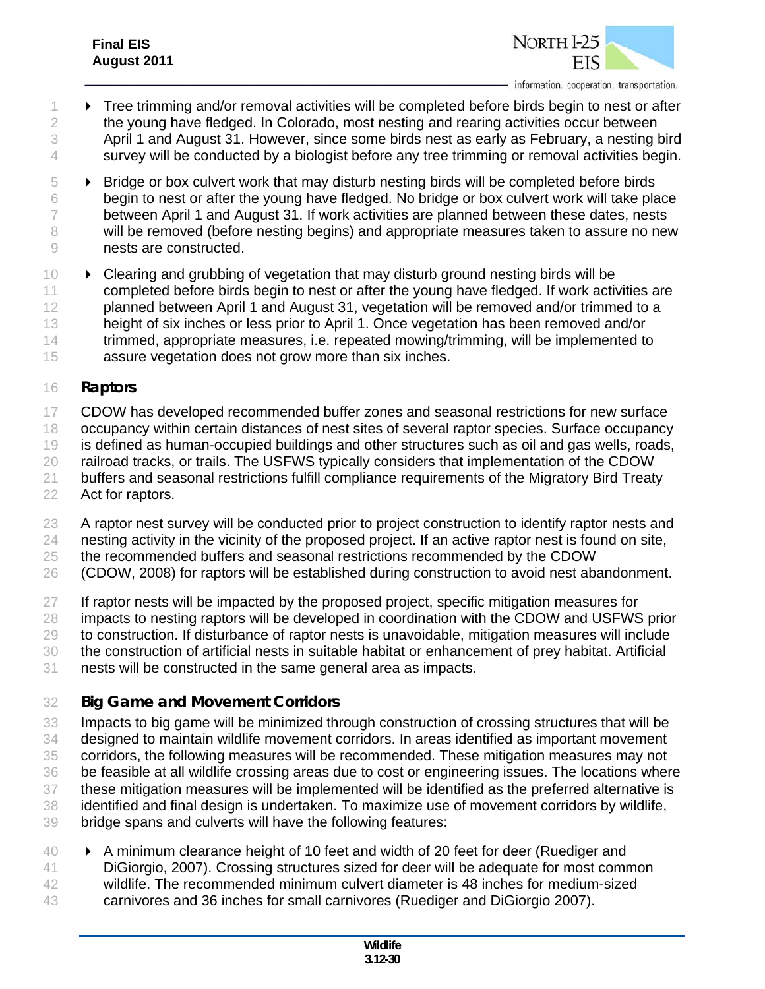

- Tree trimming and/or removal activities will be completed before birds begin to nest or after the young have fledged. In Colorado, most nesting and rearing activities occur between April 1 and August 31. However, since some birds nest as early as February, a nesting bird 4 survey will be conducted by a biologist before any tree trimming or removal activities begin.
- Bridge or box culvert work that may disturb nesting birds will be completed before birds begin to nest or after the young have fledged. No bridge or box culvert work will take place 7 between April 1 and August 31. If work activities are planned between these dates, nests will be removed (before nesting begins) and appropriate measures taken to assure no new nests are constructed.
- **Example 20 Fernal Strucht** 10 **Fernal Struch** 10 **Fernal Strucht** and Dividishing birds will be 11 completed before birds begin to nest or after the young have fledged. If work activities are 12 planned between April 1 and August 31, vegetation will be removed and/or trimmed to a height of six inches or less prior to April 1. Once vegetation has been removed and/or trimmed, appropriate measures, i.e. repeated mowing/trimming, will be implemented to assure vegetation does not grow more than six inches.

#### *Raptors*

- 17 CDOW has developed recommended buffer zones and seasonal restrictions for new surface
- occupancy within certain distances of nest sites of several raptor species. Surface occupancy
- is defined as human-occupied buildings and other structures such as oil and gas wells, roads,
- 20 railroad tracks, or trails. The USFWS typically considers that implementation of the CDOW
- buffers and seasonal restrictions fulfill compliance requirements of the Migratory Bird Treaty Act for raptors.
- A raptor nest survey will be conducted prior to project construction to identify raptor nests and nesting activity in the vicinity of the proposed project. If an active raptor nest is found on site,
- the recommended buffers and seasonal restrictions recommended by the CDOW
- (CDOW, 2008) for raptors will be established during construction to avoid nest abandonment.
- 27 If raptor nests will be impacted by the proposed project, specific mitigation measures for impacts to nesting raptors will be developed in coordination with the CDOW and USFWS prior to construction. If disturbance of raptor nests is unavoidable, mitigation measures will include the construction of artificial nests in suitable habitat or enhancement of prey habitat. Artificial
- nests will be constructed in the same general area as impacts.

## *Big Game and Movement Corridors*

- Impacts to big game will be minimized through construction of crossing structures that will be designed to maintain wildlife movement corridors. In areas identified as important movement corridors, the following measures will be recommended. These mitigation measures may not be feasible at all wildlife crossing areas due to cost or engineering issues. The locations where these mitigation measures will be implemented will be identified as the preferred alternative is identified and final design is undertaken. To maximize use of movement corridors by wildlife, bridge spans and culverts will have the following features:
- 40 A minimum clearance height of 10 feet and width of 20 feet for deer (Ruediger and DiGiorgio, 2007). Crossing structures sized for deer will be adequate for most common wildlife. The recommended minimum culvert diameter is 48 inches for medium-sized carnivores and 36 inches for small carnivores (Ruediger and DiGiorgio 2007).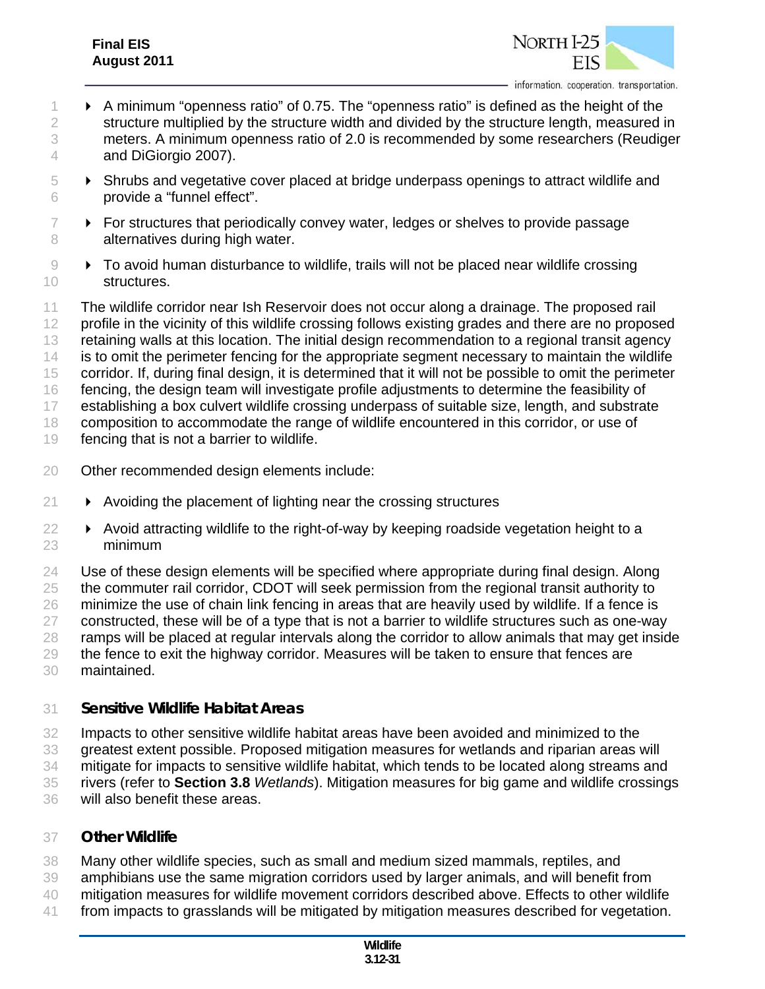## **Final EIS August 2011**



- 1 **A** minimum "openness ratio" of 0.75. The "openness ratio" is defined as the height of the 2 structure multiplied by the structure width and divided by the structure length, measured in meters. A minimum openness ratio of 2.0 is recommended by some researchers (Reudiger and DiGiorgio 2007).
- Shrubs and vegetative cover placed at bridge underpass openings to attract wildlife and provide a "funnel effect".
- $7 \rightarrow$  For structures that periodically convey water, ledges or shelves to provide passage 8 alternatives during high water.
- **•** To avoid human disturbance to wildlife, trails will not be placed near wildlife crossing structures.

 The wildlife corridor near Ish Reservoir does not occur along a drainage. The proposed rail 12 profile in the vicinity of this wildlife crossing follows existing grades and there are no proposed retaining walls at this location. The initial design recommendation to a regional transit agency 14 is to omit the perimeter fencing for the appropriate segment necessary to maintain the wildlife 15 corridor. If, during final design, it is determined that it will not be possible to omit the perimeter fencing, the design team will investigate profile adjustments to determine the feasibility of establishing a box culvert wildlife crossing underpass of suitable size, length, and substrate composition to accommodate the range of wildlife encountered in this corridor, or use of fencing that is not a barrier to wildlife.

- Other recommended design elements include:
- $21 \rightarrow$  Avoiding the placement of lighting near the crossing structures
- 22 > Avoid attracting wildlife to the right-of-way by keeping roadside vegetation height to a minimum

24 Use of these design elements will be specified where appropriate during final design. Along 25 the commuter rail corridor, CDOT will seek permission from the regional transit authority to 26 minimize the use of chain link fencing in areas that are heavily used by wildlife. If a fence is constructed, these will be of a type that is not a barrier to wildlife structures such as one-way ramps will be placed at regular intervals along the corridor to allow animals that may get inside the fence to exit the highway corridor. Measures will be taken to ensure that fences are maintained.

#### *Sensitive Wildlife Habitat Areas*

- Impacts to other sensitive wildlife habitat areas have been avoided and minimized to the greatest extent possible. Proposed mitigation measures for wetlands and riparian areas will
- mitigate for impacts to sensitive wildlife habitat, which tends to be located along streams and
- rivers (refer to **Section 3.8** *Wetlands*). Mitigation measures for big game and wildlife crossings
- will also benefit these areas.

#### *Other Wildlife*

- Many other wildlife species, such as small and medium sized mammals, reptiles, and
- amphibians use the same migration corridors used by larger animals, and will benefit from
- mitigation measures for wildlife movement corridors described above. Effects to other wildlife
- from impacts to grasslands will be mitigated by mitigation measures described for vegetation.